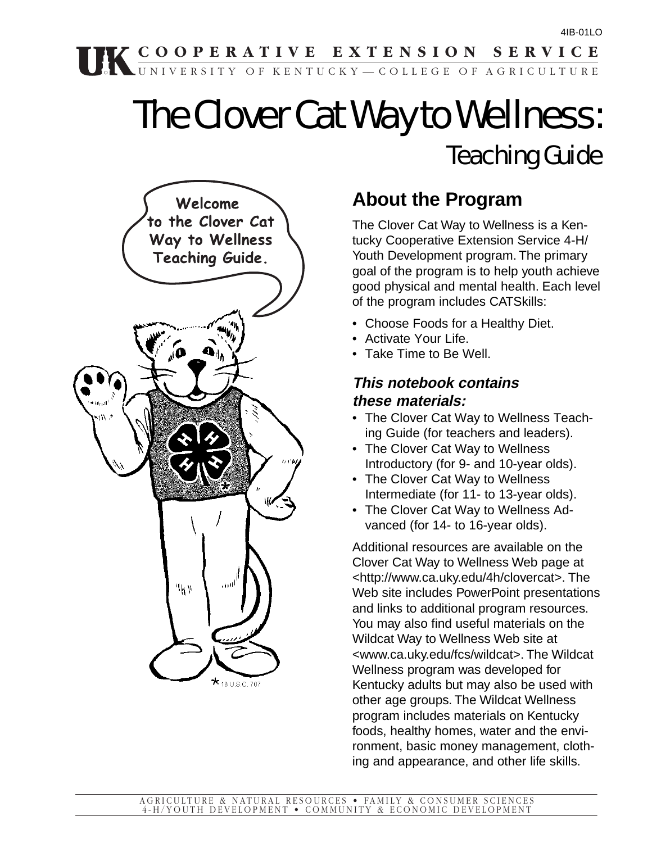## **COOPERATIVE EXTENSION SERVICE**

# The Clover Cat Way to Wellness: Teaching Guide

UNIVERSITY OF KENTUCKY—COLLEGE OF AGRICULTURE



## **About the Program**

The Clover Cat Way to Wellness is a Kentucky Cooperative Extension Service 4-H/ Youth Development program. The primary goal of the program is to help youth achieve good physical and mental health. Each level of the program includes CATSkills:

- Choose Foods for a Healthy Diet.
- Activate Your Life.
- Take Time to Be Well.

#### **This notebook contains these materials:**

- The Clover Cat Way to Wellness Teaching Guide (for teachers and leaders).
- The Clover Cat Way to Wellness Introductory (for 9- and 10-year olds).
- The Clover Cat Way to Wellness Intermediate (for 11- to 13-year olds).
- The Clover Cat Way to Wellness Advanced (for 14- to 16-year olds).

Additional resources are available on the Clover Cat Way to Wellness Web page at <http://www.ca.uky.edu/4h/clovercat>. The Web site includes PowerPoint presentations and links to additional program resources. You may also find useful materials on the Wildcat Way to Wellness Web site at <www.ca.uky.edu/fcs/wildcat>. The Wildcat Wellness program was developed for Kentucky adults but may also be used with other age groups. The Wildcat Wellness program includes materials on Kentucky foods, healthy homes, water and the environment, basic money management, clothing and appearance, and other life skills.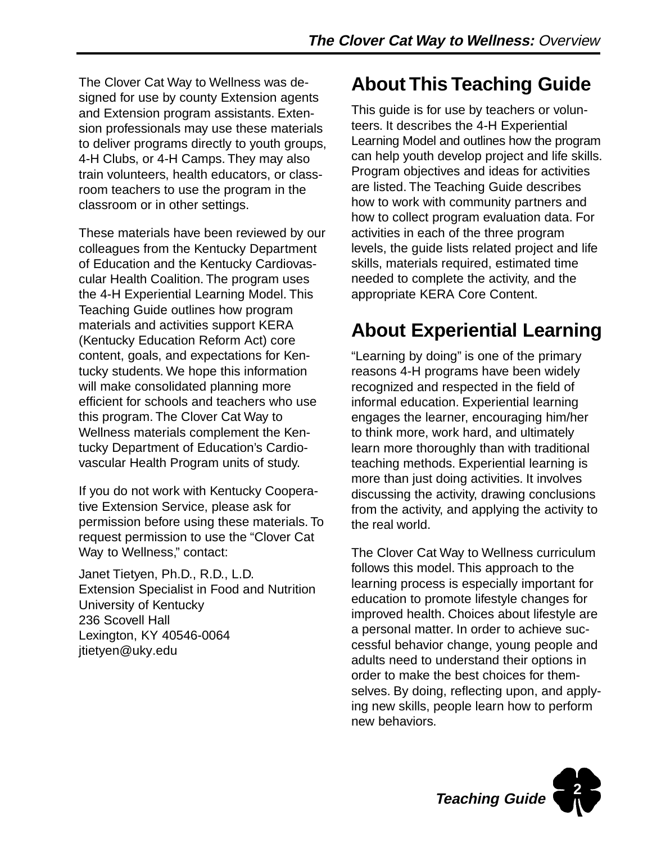The Clover Cat Way to Wellness was designed for use by county Extension agents and Extension program assistants. Extension professionals may use these materials to deliver programs directly to youth groups, 4-H Clubs, or 4-H Camps. They may also train volunteers, health educators, or classroom teachers to use the program in the classroom or in other settings.

These materials have been reviewed by our colleagues from the Kentucky Department of Education and the Kentucky Cardiovascular Health Coalition. The program uses the 4-H Experiential Learning Model. This Teaching Guide outlines how program materials and activities support KERA (Kentucky Education Reform Act) core content, goals, and expectations for Kentucky students. We hope this information will make consolidated planning more efficient for schools and teachers who use this program. The Clover Cat Way to Wellness materials complement the Kentucky Department of Education's Cardiovascular Health Program units of study.

If you do not work with Kentucky Cooperative Extension Service, please ask for permission before using these materials. To request permission to use the "Clover Cat Way to Wellness," contact:

Janet Tietyen, Ph.D., R.D., L.D. Extension Specialist in Food and Nutrition University of Kentucky 236 Scovell Hall Lexington, KY 40546-0064 jtietyen@uky.edu

## **About This Teaching Guide**

This guide is for use by teachers or volunteers. It describes the 4-H Experiential Learning Model and outlines how the program can help youth develop project and life skills. Program objectives and ideas for activities are listed. The Teaching Guide describes how to work with community partners and how to collect program evaluation data. For activities in each of the three program levels, the guide lists related project and life skills, materials required, estimated time needed to complete the activity, and the appropriate KERA Core Content.

## **About Experiential Learning**

"Learning by doing" is one of the primary reasons 4-H programs have been widely recognized and respected in the field of informal education. Experiential learning engages the learner, encouraging him/her to think more, work hard, and ultimately learn more thoroughly than with traditional teaching methods. Experiential learning is more than just doing activities. It involves discussing the activity, drawing conclusions from the activity, and applying the activity to the real world.

The Clover Cat Way to Wellness curriculum follows this model. This approach to the learning process is especially important for education to promote lifestyle changes for improved health. Choices about lifestyle are a personal matter. In order to achieve successful behavior change, young people and adults need to understand their options in order to make the best choices for themselves. By doing, reflecting upon, and applying new skills, people learn how to perform new behaviors.

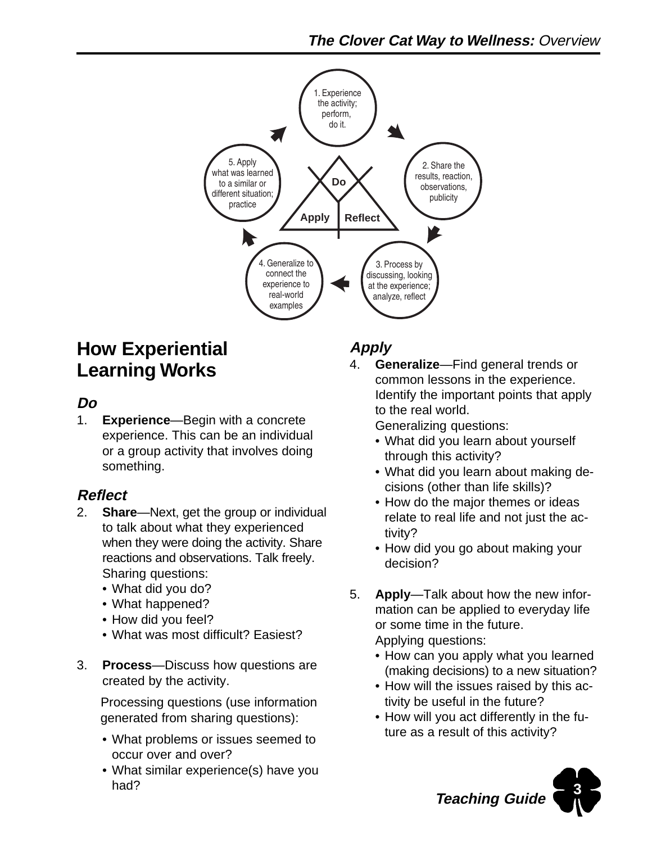

## **How Experiential Learning Works**

### **Do**

1. **Experience**—Begin with a concrete experience. This can be an individual or a group activity that involves doing something.

### **Reflect**

- 2. **Share**—Next, get the group or individual to talk about what they experienced when they were doing the activity. Share reactions and observations. Talk freely. Sharing questions:
	- What did you do?
	- What happened?
	- How did you feel?
	- What was most difficult? Easiest?
- 3. **Process**—Discuss how questions are created by the activity.

 Processing questions (use information generated from sharing questions):

- What problems or issues seemed to occur over and over?
- What similar experience(s) have you had?

## **Apply**

4. **Generalize**—Find general trends or common lessons in the experience. Identify the important points that apply to the real world.

Generalizing questions:

- What did you learn about yourself through this activity?
- What did you learn about making decisions (other than life skills)?
- How do the major themes or ideas relate to real life and not just the activity?
- How did you go about making your decision?
- 5. **Apply**—Talk about how the new information can be applied to everyday life or some time in the future.

Applying questions:

- How can you apply what you learned (making decisions) to a new situation?
- How will the issues raised by this activity be useful in the future?
- How will you act differently in the future as a result of this activity?

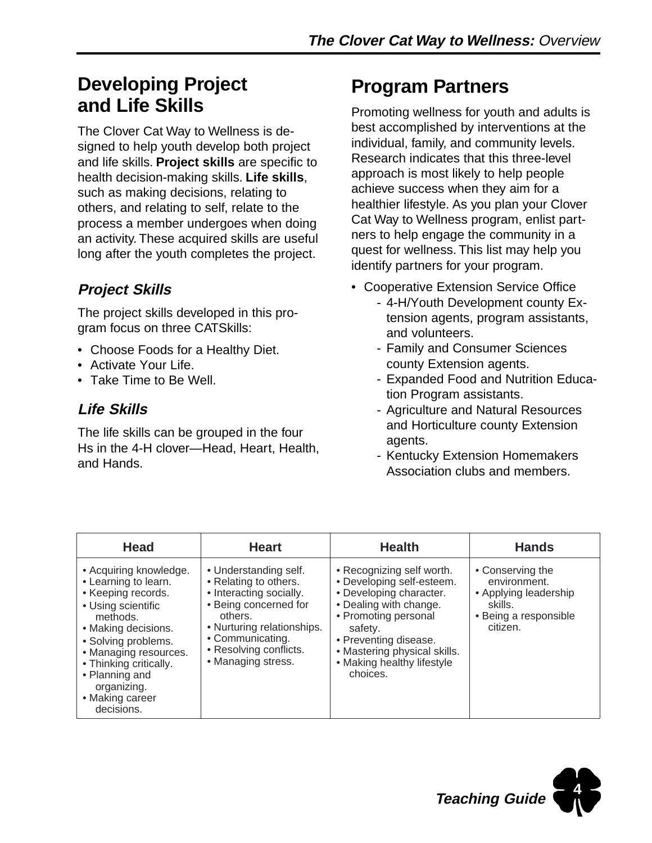## **Developing Project and Life Skills**

The Clover Cat Way to Wellness is designed to help youth develop both project and life skills. **Project skills** are specific to health decision-making skills. **Life skills**, such as making decisions, relating to others, and relating to self, relate to the process a member undergoes when doing an activity. These acquired skills are useful long after the youth completes the project.

## **Project Skills**

The project skills developed in this program focus on three CATSkills:

- Choose Foods for a Healthy Diet.
- Activate Your Life.
- Take Time to Be Well.

### **Life Skills**

The life skills can be grouped in the four Hs in the 4-H clover—Head, Heart, Health, and Hands.

## **Program Partners**

Promoting wellness for youth and adults is best accomplished by interventions at the individual, family, and community levels. Research indicates that this three-level approach is most likely to help people achieve success when they aim for a healthier lifestyle. As you plan your Clover Cat Way to Wellness program, enlist partners to help engage the community in a quest for wellness. This list may help you identify partners for your program.

- Cooperative Extension Service Office
	- 4-H/Youth Development county Extension agents, program assistants, and volunteers.
	- Family and Consumer Sciences county Extension agents.
	- Expanded Food and Nutrition Education Program assistants.
	- Agriculture and Natural Resources and Horticulture county Extension agents.
	- Kentucky Extension Homemakers Association clubs and members.

| <b>Head</b>                                                                                                                                                                                                                                                               | <b>Heart</b>                                                                                                                                                                                                    | <b>Health</b>                                                                                                                                                                                                                                     | <b>Hands</b>                                                                                              |
|---------------------------------------------------------------------------------------------------------------------------------------------------------------------------------------------------------------------------------------------------------------------------|-----------------------------------------------------------------------------------------------------------------------------------------------------------------------------------------------------------------|---------------------------------------------------------------------------------------------------------------------------------------------------------------------------------------------------------------------------------------------------|-----------------------------------------------------------------------------------------------------------|
| • Acquiring knowledge.<br>• Learning to learn.<br>• Keeping records.<br>• Using scientific<br>methods.<br>• Making decisions.<br>• Solving problems.<br>• Managing resources.<br>• Thinking critically.<br>• Planning and<br>organizing.<br>• Making career<br>decisions. | • Understanding self.<br>• Relating to others.<br>• Interacting socially.<br>• Being concerned for<br>others.<br>• Nurturing relationships.<br>• Communicating.<br>• Resolving conflicts.<br>• Managing stress. | • Recognizing self worth.<br>• Developing self-esteem.<br>• Developing character.<br>• Dealing with change.<br>• Promoting personal<br>safety.<br>• Preventing disease.<br>• Mastering physical skills.<br>• Making healthy lifestyle<br>choices. | • Conserving the<br>environment.<br>• Applying leadership<br>skills.<br>• Being a responsible<br>citizen. |

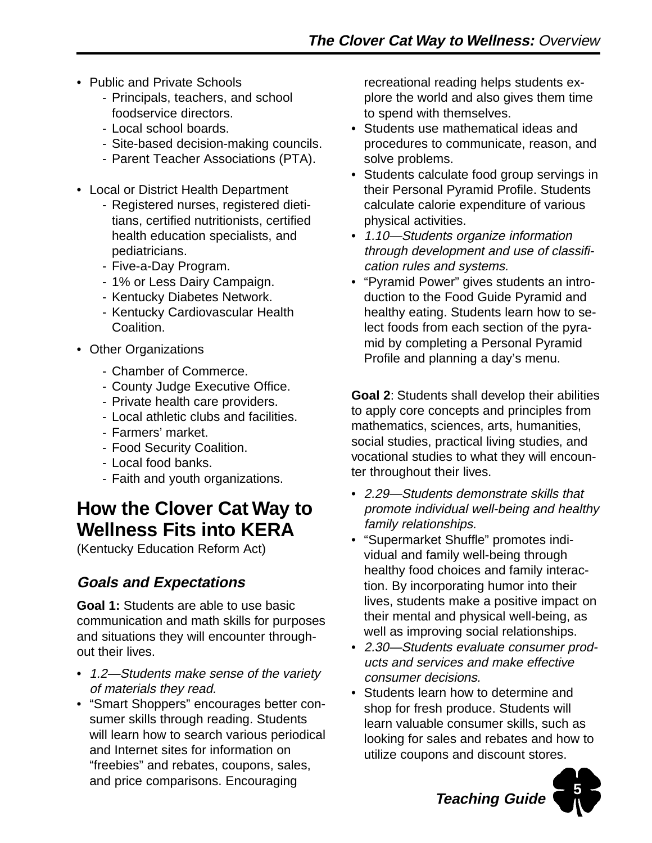- Public and Private Schools
	- Principals, teachers, and school foodservice directors.
	- Local school boards.
	- Site-based decision-making councils.
	- Parent Teacher Associations (PTA).
- Local or District Health Department
	- Registered nurses, registered dietitians, certified nutritionists, certified health education specialists, and pediatricians.
	- Five-a-Day Program.
	- 1% or Less Dairy Campaign.
	- Kentucky Diabetes Network.
	- Kentucky Cardiovascular Health Coalition.
- Other Organizations
	- Chamber of Commerce.
	- County Judge Executive Office.
	- Private health care providers.
	- Local athletic clubs and facilities.
	- Farmers' market.
	- Food Security Coalition.
	- Local food banks.
	- Faith and youth organizations.

## **How the Clover Cat Way to Wellness Fits into KERA**

(Kentucky Education Reform Act)

### **Goals and Expectations**

**Goal 1:** Students are able to use basic communication and math skills for purposes and situations they will encounter throughout their lives.

- 1.2—Students make sense of the variety of materials they read.
- "Smart Shoppers" encourages better consumer skills through reading. Students will learn how to search various periodical and Internet sites for information on "freebies" and rebates, coupons, sales, and price comparisons. Encouraging

recreational reading helps students explore the world and also gives them time to spend with themselves.

- Students use mathematical ideas and procedures to communicate, reason, and solve problems.
- Students calculate food group servings in their Personal Pyramid Profile. Students calculate calorie expenditure of various physical activities.
- 1.10—Students organize information through development and use of classification rules and systems.
- "Pyramid Power" gives students an introduction to the Food Guide Pyramid and healthy eating. Students learn how to select foods from each section of the pyramid by completing a Personal Pyramid Profile and planning a day's menu.

**Goal 2**: Students shall develop their abilities to apply core concepts and principles from mathematics, sciences, arts, humanities, social studies, practical living studies, and vocational studies to what they will encounter throughout their lives.

- 2.29—Students demonstrate skills that promote individual well-being and healthy family relationships.
- "Supermarket Shuffle" promotes individual and family well-being through healthy food choices and family interaction. By incorporating humor into their lives, students make a positive impact on their mental and physical well-being, as well as improving social relationships.
- 2.30—Students evaluate consumer products and services and make effective consumer decisions.
- Students learn how to determine and shop for fresh produce. Students will learn valuable consumer skills, such as looking for sales and rebates and how to utilize coupons and discount stores.



**Teaching Guide**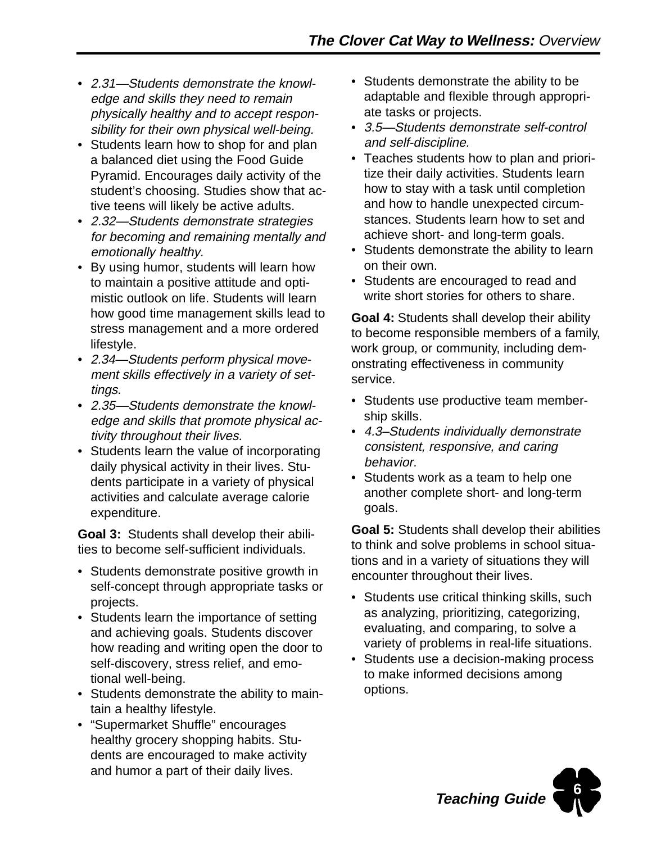- 2.31—Students demonstrate the knowledge and skills they need to remain physically healthy and to accept responsibility for their own physical well-being.
- Students learn how to shop for and plan a balanced diet using the Food Guide Pyramid. Encourages daily activity of the student's choosing. Studies show that active teens will likely be active adults.
- 2.32—Students demonstrate strategies for becoming and remaining mentally and emotionally healthy.
- By using humor, students will learn how to maintain a positive attitude and optimistic outlook on life. Students will learn how good time management skills lead to stress management and a more ordered lifestyle.
- 2.34—Students perform physical movement skills effectively in a variety of settings.
- 2.35—Students demonstrate the knowledge and skills that promote physical activity throughout their lives.
- Students learn the value of incorporating daily physical activity in their lives. Students participate in a variety of physical activities and calculate average calorie expenditure.

**Goal 3:** Students shall develop their abilities to become self-sufficient individuals.

- Students demonstrate positive growth in self-concept through appropriate tasks or projects.
- Students learn the importance of setting and achieving goals. Students discover how reading and writing open the door to self-discovery, stress relief, and emotional well-being.
- Students demonstrate the ability to maintain a healthy lifestyle.
- "Supermarket Shuffle" encourages healthy grocery shopping habits. Students are encouraged to make activity and humor a part of their daily lives.
- Students demonstrate the ability to be adaptable and flexible through appropriate tasks or projects.
- 3.5—Students demonstrate self-control and self-discipline.
- Teaches students how to plan and prioritize their daily activities. Students learn how to stay with a task until completion and how to handle unexpected circumstances. Students learn how to set and achieve short- and long-term goals.
- Students demonstrate the ability to learn on their own.
- Students are encouraged to read and write short stories for others to share.

**Goal 4:** Students shall develop their ability to become responsible members of a family, work group, or community, including demonstrating effectiveness in community service.

- Students use productive team membership skills.
- 4.3–Students individually demonstrate consistent, responsive, and caring behavior.
- Students work as a team to help one another complete short- and long-term goals.

**Goal 5:** Students shall develop their abilities to think and solve problems in school situations and in a variety of situations they will encounter throughout their lives.

- Students use critical thinking skills, such as analyzing, prioritizing, categorizing, evaluating, and comparing, to solve a variety of problems in real-life situations.
- Students use a decision-making process to make informed decisions among options.

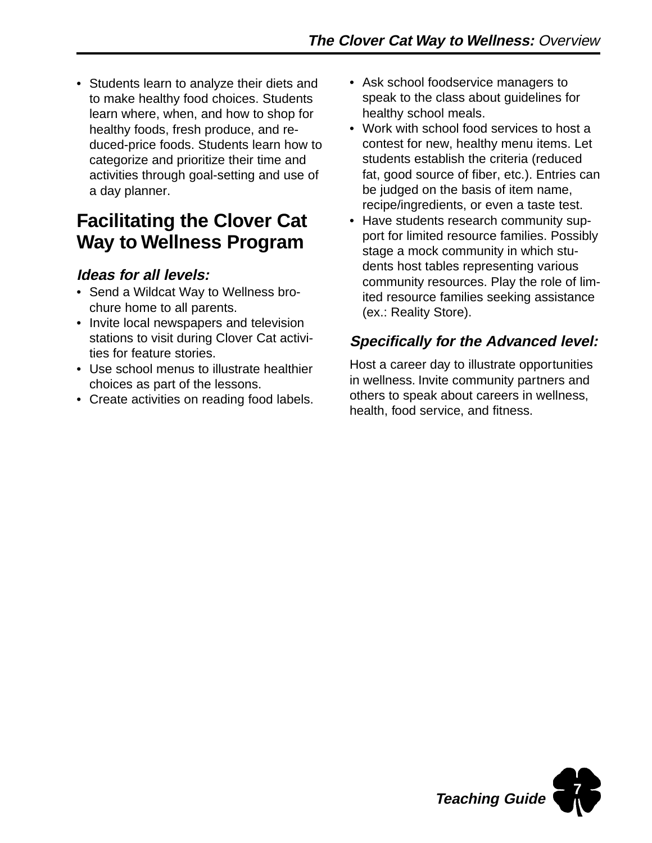• Students learn to analyze their diets and to make healthy food choices. Students learn where, when, and how to shop for healthy foods, fresh produce, and reduced-price foods. Students learn how to categorize and prioritize their time and activities through goal-setting and use of a day planner.

## **Facilitating the Clover Cat Way to Wellness Program**

### **Ideas for all levels:**

- Send a Wildcat Way to Wellness brochure home to all parents.
- Invite local newspapers and television stations to visit during Clover Cat activities for feature stories.
- Use school menus to illustrate healthier choices as part of the lessons.
- Create activities on reading food labels.
- Ask school foodservice managers to speak to the class about guidelines for healthy school meals.
- Work with school food services to host a contest for new, healthy menu items. Let students establish the criteria (reduced fat, good source of fiber, etc.). Entries can be judged on the basis of item name, recipe/ingredients, or even a taste test.
- Have students research community support for limited resource families. Possibly stage a mock community in which students host tables representing various community resources. Play the role of limited resource families seeking assistance (ex.: Reality Store).

### **Specifically for the Advanced level:**

Host a career day to illustrate opportunities in wellness. Invite community partners and others to speak about careers in wellness, health, food service, and fitness.

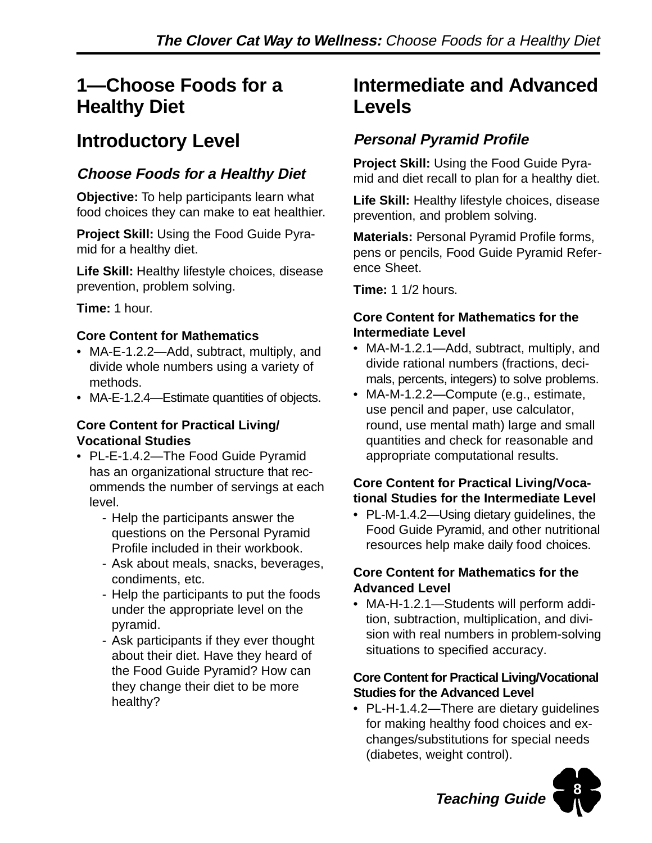## **1—Choose Foods for a Healthy Diet**

## **Introductory Level**

### **Choose Foods for a Healthy Diet**

**Objective:** To help participants learn what food choices they can make to eat healthier.

**Project Skill:** Using the Food Guide Pyramid for a healthy diet.

**Life Skill:** Healthy lifestyle choices, disease prevention, problem solving.

**Time:** 1 hour.

#### **Core Content for Mathematics**

- MA-E-1.2.2-Add, subtract, multiply, and divide whole numbers using a variety of methods.
- MA-E-1.2.4—Estimate quantities of objects.

#### **Core Content for Practical Living/ Vocational Studies**

- PL-E-1.4.2—The Food Guide Pyramid has an organizational structure that recommends the number of servings at each level.
	- Help the participants answer the questions on the Personal Pyramid Profile included in their workbook.
	- Ask about meals, snacks, beverages, condiments, etc.
	- Help the participants to put the foods under the appropriate level on the pyramid.
	- Ask participants if they ever thought about their diet. Have they heard of the Food Guide Pyramid? How can they change their diet to be more healthy?

## **Intermediate and Advanced Levels**

### **Personal Pyramid Profile**

**Project Skill:** Using the Food Guide Pyramid and diet recall to plan for a healthy diet.

**Life Skill:** Healthy lifestyle choices, disease prevention, and problem solving.

**Materials:** Personal Pyramid Profile forms, pens or pencils, Food Guide Pyramid Reference Sheet.

**Time:** 1 1/2 hours.

#### **Core Content for Mathematics for the Intermediate Level**

- MA-M-1.2.1—Add, subtract, multiply, and divide rational numbers (fractions, decimals, percents, integers) to solve problems.
- MA-M-1.2.2—Compute (e.g., estimate, use pencil and paper, use calculator, round, use mental math) large and small quantities and check for reasonable and appropriate computational results.

#### **Core Content for Practical Living/Vocational Studies for the Intermediate Level**

• PL-M-1.4.2—Using dietary guidelines, the Food Guide Pyramid, and other nutritional resources help make daily food choices.

#### **Core Content for Mathematics for the Advanced Level**

• MA-H-1.2.1—Students will perform addition, subtraction, multiplication, and division with real numbers in problem-solving situations to specified accuracy.

#### **Core Content for Practical Living/Vocational Studies for the Advanced Level**

• PL-H-1.4.2—There are dietary guidelines for making healthy food choices and exchanges/substitutions for special needs (diabetes, weight control).



**Teaching Guide**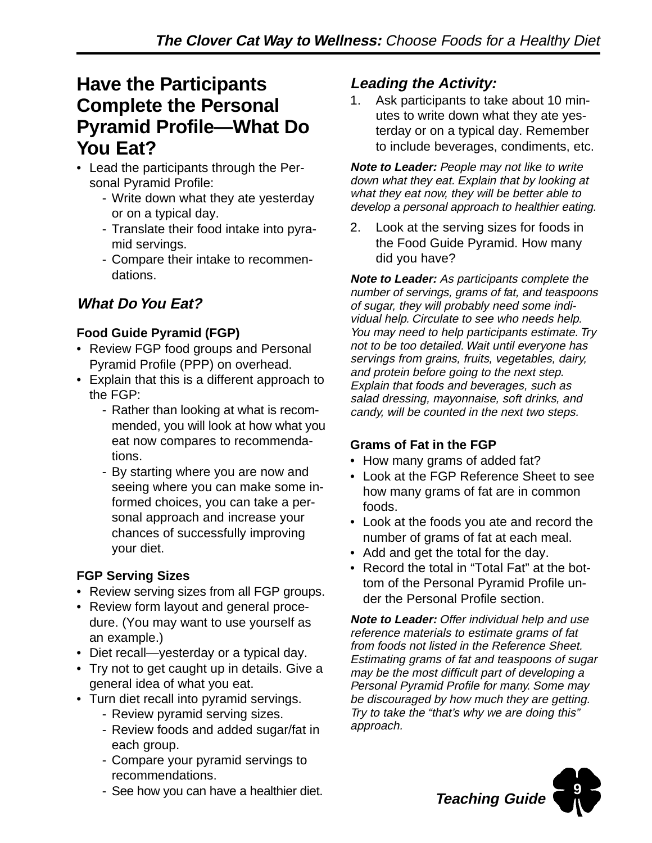## **Have the Participants Complete the Personal Pyramid Profile—What Do You Eat?**

- Lead the participants through the Personal Pyramid Profile:
	- Write down what they ate yesterday or on a typical day.
	- Translate their food intake into pyramid servings.
	- Compare their intake to recommendations.

## **What Do You Eat?**

#### **Food Guide Pyramid (FGP)**

- Review FGP food groups and Personal Pyramid Profile (PPP) on overhead.
- Explain that this is a different approach to the FGP:
	- Rather than looking at what is recommended, you will look at how what you eat now compares to recommendations.
	- By starting where you are now and seeing where you can make some informed choices, you can take a personal approach and increase your chances of successfully improving your diet.

#### **FGP Serving Sizes**

- Review serving sizes from all FGP groups.
- Review form layout and general procedure. (You may want to use yourself as an example.)
- Diet recall—yesterday or a typical day.
- Try not to get caught up in details. Give a general idea of what you eat.
- Turn diet recall into pyramid servings.
	- Review pyramid serving sizes.
	- Review foods and added sugar/fat in each group.
	- Compare your pyramid servings to recommendations.
	- See how you can have a healthier diet.

### **Leading the Activity:**

1. Ask participants to take about 10 minutes to write down what they ate yesterday or on a typical day. Remember to include beverages, condiments, etc.

**Note to Leader:** People may not like to write down what they eat. Explain that by looking at what they eat now, they will be better able to develop a personal approach to healthier eating.

2. Look at the serving sizes for foods in the Food Guide Pyramid. How many did you have?

**Note to Leader:** As participants complete the number of servings, grams of fat, and teaspoons of sugar, they will probably need some individual help. Circulate to see who needs help. You may need to help participants estimate. Try not to be too detailed. Wait until everyone has servings from grains, fruits, vegetables, dairy, and protein before going to the next step. Explain that foods and beverages, such as salad dressing, mayonnaise, soft drinks, and candy, will be counted in the next two steps.

#### **Grams of Fat in the FGP**

- How many grams of added fat?
- Look at the FGP Reference Sheet to see how many grams of fat are in common foods.
- Look at the foods you ate and record the number of grams of fat at each meal.
- Add and get the total for the day.
- Record the total in "Total Fat" at the bottom of the Personal Pyramid Profile under the Personal Profile section.

**Note to Leader:** Offer individual help and use reference materials to estimate grams of fat from foods not listed in the Reference Sheet. Estimating grams of fat and teaspoons of sugar may be the most difficult part of developing a Personal Pyramid Profile for many. Some may be discouraged by how much they are getting. Try to take the "that's why we are doing this" approach.

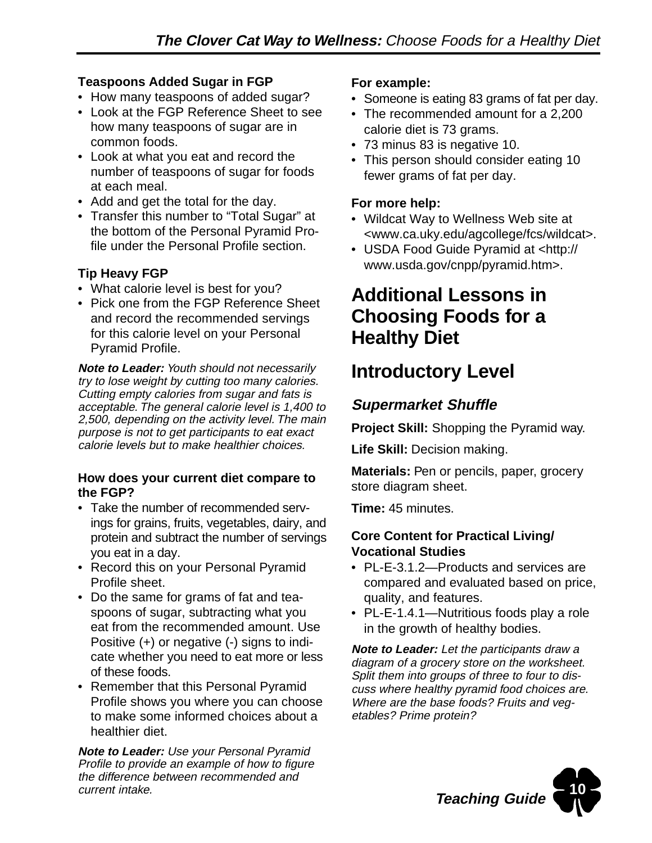#### **Teaspoons Added Sugar in FGP**

- How many teaspoons of added sugar?
- Look at the FGP Reference Sheet to see how many teaspoons of sugar are in common foods.
- Look at what you eat and record the number of teaspoons of sugar for foods at each meal.
- Add and get the total for the day.
- Transfer this number to "Total Sugar" at the bottom of the Personal Pyramid Profile under the Personal Profile section.

#### **Tip Heavy FGP**

- What calorie level is best for you?
- Pick one from the FGP Reference Sheet and record the recommended servings for this calorie level on your Personal Pyramid Profile.

**Note to Leader:** Youth should not necessarily try to lose weight by cutting too many calories. Cutting empty calories from sugar and fats is acceptable. The general calorie level is 1,400 to 2,500, depending on the activity level. The main purpose is not to get participants to eat exact calorie levels but to make healthier choices.

#### **How does your current diet compare to the FGP?**

- Take the number of recommended servings for grains, fruits, vegetables, dairy, and protein and subtract the number of servings you eat in a day.
- Record this on your Personal Pyramid Profile sheet.
- Do the same for grams of fat and teaspoons of sugar, subtracting what you eat from the recommended amount. Use Positive (+) or negative (-) signs to indicate whether you need to eat more or less of these foods.
- Remember that this Personal Pyramid Profile shows you where you can choose to make some informed choices about a healthier diet.

**Note to Leader:** Use your Personal Pyramid Profile to provide an example of how to figure the difference between recommended and current intake.

#### **For example:**

- Someone is eating 83 grams of fat per day.
- The recommended amount for a 2,200 calorie diet is 73 grams.
- 73 minus 83 is negative 10.
- This person should consider eating 10 fewer grams of fat per day.

#### **For more help:**

- Wildcat Way to Wellness Web site at <www.ca.uky.edu/agcollege/fcs/wildcat>.
- USDA Food Guide Pyramid at <http:// www.usda.gov/cnpp/pyramid.htm>.

## **Additional Lessons in Choosing Foods for a Healthy Diet**

## **Introductory Level**

## **Supermarket Shuffle**

**Project Skill:** Shopping the Pyramid way.

**Life Skill:** Decision making.

**Materials:** Pen or pencils, paper, grocery store diagram sheet.

**Time:** 45 minutes.

#### **Core Content for Practical Living/ Vocational Studies**

- PL-E-3.1.2—Products and services are compared and evaluated based on price, quality, and features.
- PL-E-1.4.1—Nutritious foods play a role in the growth of healthy bodies.

**Note to Leader:** Let the participants draw a diagram of a grocery store on the worksheet. Split them into groups of three to four to discuss where healthy pyramid food choices are. Where are the base foods? Fruits and vegetables? Prime protein?

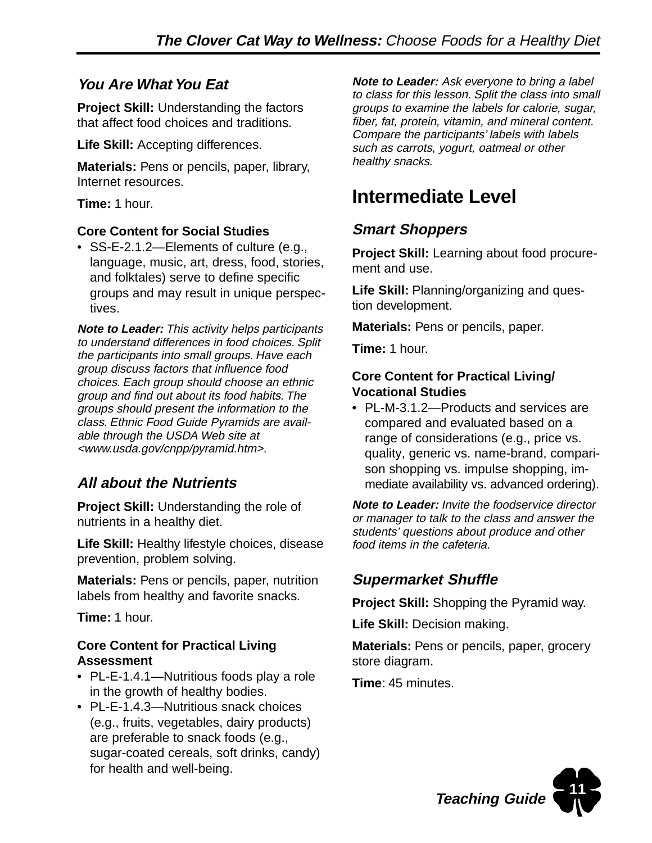### **You Are What You Eat**

**Project Skill:** Understanding the factors that affect food choices and traditions.

**Life Skill:** Accepting differences.

**Materials:** Pens or pencils, paper, library, Internet resources.

**Time:** 1 hour.

#### **Core Content for Social Studies**

• SS-E-2.1.2—Elements of culture (e.g., language, music, art, dress, food, stories, and folktales) serve to define specific groups and may result in unique perspectives.

**Note to Leader:** This activity helps participants to understand differences in food choices. Split the participants into small groups. Have each group discuss factors that influence food choices. Each group should choose an ethnic group and find out about its food habits. The groups should present the information to the class. Ethnic Food Guide Pyramids are available through the USDA Web site at <www.usda.gov/cnpp/pyramid.htm>.

### **All about the Nutrients**

**Project Skill:** Understanding the role of nutrients in a healthy diet.

**Life Skill:** Healthy lifestyle choices, disease prevention, problem solving.

**Materials:** Pens or pencils, paper, nutrition labels from healthy and favorite snacks.

**Time:** 1 hour.

#### **Core Content for Practical Living Assessment**

- PL-E-1.4.1—Nutritious foods play a role in the growth of healthy bodies.
- PL-E-1.4.3—Nutritious snack choices (e.g., fruits, vegetables, dairy products) are preferable to snack foods (e.g., sugar-coated cereals, soft drinks, candy) for health and well-being.

**Note to Leader:** Ask everyone to bring a label to class for this lesson. Split the class into small groups to examine the labels for calorie, sugar, fiber, fat, protein, vitamin, and mineral content. Compare the participants' labels with labels such as carrots, yogurt, oatmeal or other healthy snacks.

## **Intermediate Level**

### **Smart Shoppers**

**Project Skill:** Learning about food procurement and use.

**Life Skill:** Planning/organizing and question development.

**Materials:** Pens or pencils, paper.

**Time:** 1 hour.

#### **Core Content for Practical Living/ Vocational Studies**

• PL-M-3.1.2—Products and services are compared and evaluated based on a range of considerations (e.g., price vs. quality, generic vs. name-brand, comparison shopping vs. impulse shopping, immediate availability vs. advanced ordering).

**Note to Leader:** Invite the foodservice director or manager to talk to the class and answer the students' questions about produce and other food items in the cafeteria.

## **Supermarket Shuffle**

**Project Skill:** Shopping the Pyramid way.

**Life Skill:** Decision making.

**Materials:** Pens or pencils, paper, grocery store diagram.

**Time**: 45 minutes.

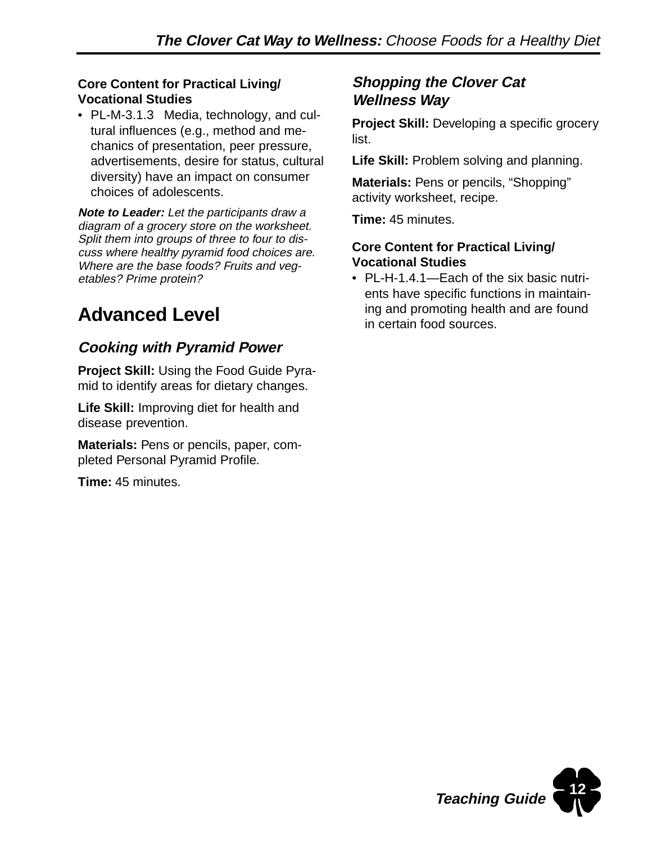#### **Core Content for Practical Living/ Vocational Studies**

• PL-M-3.1.3 Media, technology, and cultural influences (e.g., method and mechanics of presentation, peer pressure, advertisements, desire for status, cultural diversity) have an impact on consumer choices of adolescents.

**Note to Leader:** Let the participants draw a diagram of a grocery store on the worksheet. Split them into groups of three to four to discuss where healthy pyramid food choices are. Where are the base foods? Fruits and vegetables? Prime protein?

## **Advanced Level**

### **Cooking with Pyramid Power**

**Project Skill:** Using the Food Guide Pyramid to identify areas for dietary changes.

**Life Skill:** Improving diet for health and disease prevention.

**Materials:** Pens or pencils, paper, completed Personal Pyramid Profile.

**Time:** 45 minutes.

### **Shopping the Clover Cat Wellness Way**

**Project Skill:** Developing a specific grocery list.

**Life Skill:** Problem solving and planning.

**Materials:** Pens or pencils, "Shopping" activity worksheet, recipe.

**Time:** 45 minutes.

#### **Core Content for Practical Living/ Vocational Studies**

• PL-H-1.4.1—Each of the six basic nutrients have specific functions in maintaining and promoting health and are found in certain food sources.

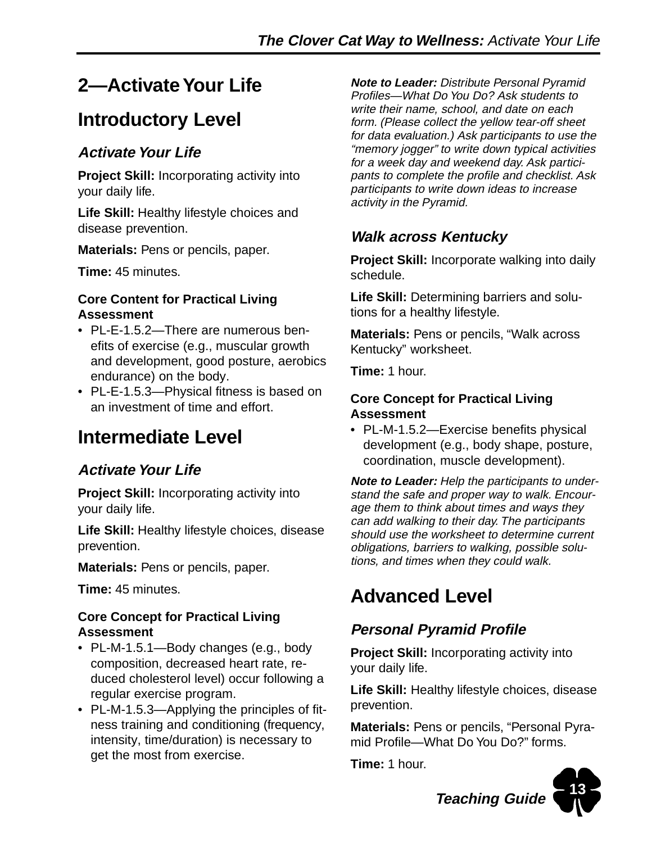## **2—Activate Your Life**

## **Introductory Level**

### **Activate Your Life**

**Project Skill:** Incorporating activity into your daily life.

**Life Skill:** Healthy lifestyle choices and disease prevention.

**Materials:** Pens or pencils, paper.

**Time:** 45 minutes.

#### **Core Content for Practical Living Assessment**

- PL-E-1.5.2—There are numerous benefits of exercise (e.g., muscular growth and development, good posture, aerobics endurance) on the body.
- PL-E-1.5.3—Physical fitness is based on an investment of time and effort.

## **Intermediate Level**

### **Activate Your Life**

**Project Skill:** Incorporating activity into your daily life.

**Life Skill:** Healthy lifestyle choices, disease prevention.

**Materials:** Pens or pencils, paper.

**Time:** 45 minutes.

#### **Core Concept for Practical Living Assessment**

- PL-M-1.5.1—Body changes (e.g., body composition, decreased heart rate, reduced cholesterol level) occur following a regular exercise program.
- PL-M-1.5.3—Applying the principles of fitness training and conditioning (frequency, intensity, time/duration) is necessary to get the most from exercise.

**Note to Leader:** Distribute Personal Pyramid Profiles—What Do You Do? Ask students to write their name, school, and date on each form. (Please collect the yellow tear-off sheet for data evaluation.) Ask participants to use the "memory jogger" to write down typical activities for a week day and weekend day. Ask participants to complete the profile and checklist. Ask participants to write down ideas to increase activity in the Pyramid.

### **Walk across Kentucky**

**Project Skill:** Incorporate walking into daily schedule.

**Life Skill:** Determining barriers and solutions for a healthy lifestyle.

**Materials:** Pens or pencils, "Walk across Kentucky" worksheet.

**Time:** 1 hour.

#### **Core Concept for Practical Living Assessment**

• PL-M-1.5.2—Exercise benefits physical development (e.g., body shape, posture, coordination, muscle development).

**Note to Leader:** Help the participants to understand the safe and proper way to walk. Encourage them to think about times and ways they can add walking to their day. The participants should use the worksheet to determine current obligations, barriers to walking, possible solutions, and times when they could walk.

## **Advanced Level**

## **Personal Pyramid Profile**

**Project Skill:** Incorporating activity into your daily life.

**Life Skill:** Healthy lifestyle choices, disease prevention.

**Materials:** Pens or pencils, "Personal Pyramid Profile—What Do You Do?" forms.

**Time:** 1 hour.



**Teaching Guide**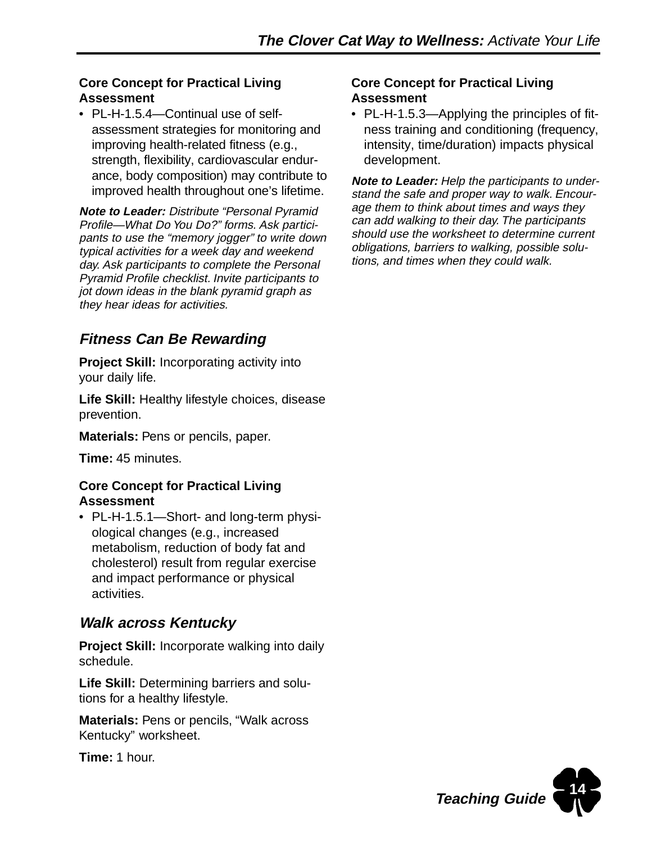#### **Core Concept for Practical Living Assessment**

• PL-H-1.5.4—Continual use of selfassessment strategies for monitoring and improving health-related fitness (e.g., strength, flexibility, cardiovascular endurance, body composition) may contribute to improved health throughout one's lifetime.

**Note to Leader:** Distribute "Personal Pyramid Profile—What Do You Do?" forms. Ask participants to use the "memory jogger" to write down typical activities for a week day and weekend day. Ask participants to complete the Personal Pyramid Profile checklist. Invite participants to jot down ideas in the blank pyramid graph as they hear ideas for activities.

## **Fitness Can Be Rewarding**

**Project Skill:** Incorporating activity into your daily life.

**Life Skill:** Healthy lifestyle choices, disease prevention.

**Materials: Pens or pencils, paper.** 

**Time:** 45 minutes.

#### **Core Concept for Practical Living Assessment**

• PL-H-1.5.1—Short- and long-term physiological changes (e.g., increased metabolism, reduction of body fat and cholesterol) result from regular exercise and impact performance or physical activities.

### **Walk across Kentucky**

**Project Skill:** Incorporate walking into daily schedule.

**Life Skill:** Determining barriers and solutions for a healthy lifestyle.

**Materials:** Pens or pencils, "Walk across Kentucky" worksheet.

**Time:** 1 hour.

#### **Core Concept for Practical Living Assessment**

• PL-H-1.5.3—Applying the principles of fitness training and conditioning (frequency, intensity, time/duration) impacts physical development.

**Note to Leader:** Help the participants to understand the safe and proper way to walk. Encourage them to think about times and ways they can add walking to their day. The participants should use the worksheet to determine current obligations, barriers to walking, possible solutions, and times when they could walk.

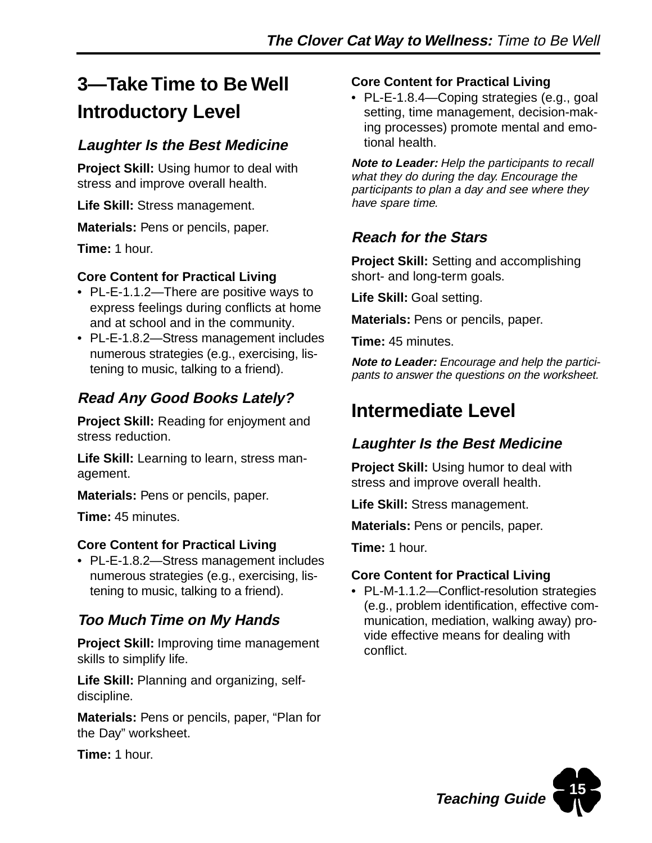## **3—Take Time to Be Well Introductory Level**

### **Laughter Is the Best Medicine**

**Project Skill:** Using humor to deal with stress and improve overall health.

**Life Skill:** Stress management.

**Materials:** Pens or pencils, paper.

**Time:** 1 hour.

#### **Core Content for Practical Living**

- PL-E-1.1.2—There are positive ways to express feelings during conflicts at home and at school and in the community.
- PL-E-1.8.2—Stress management includes numerous strategies (e.g., exercising, listening to music, talking to a friend).

### **Read Any Good Books Lately?**

**Project Skill:** Reading for enjoyment and stress reduction.

**Life Skill:** Learning to learn, stress management.

**Materials:** Pens or pencils, paper.

**Time:** 45 minutes.

#### **Core Content for Practical Living**

• PL-E-1.8.2—Stress management includes numerous strategies (e.g., exercising, listening to music, talking to a friend).

### **Too Much Time on My Hands**

**Project Skill:** Improving time management skills to simplify life.

**Life Skill:** Planning and organizing, selfdiscipline.

**Materials:** Pens or pencils, paper, "Plan for the Day" worksheet.

**Time:** 1 hour.

#### **Core Content for Practical Living**

• PL-E-1.8.4—Coping strategies (e.g., goal setting, time management, decision-making processes) promote mental and emotional health.

**Note to Leader:** Help the participants to recall what they do during the day. Encourage the participants to plan a day and see where they have spare time.

### **Reach for the Stars**

**Project Skill:** Setting and accomplishing short- and long-term goals.

**Life Skill:** Goal setting.

**Materials: Pens or pencils, paper.** 

**Time:** 45 minutes.

**Note to Leader:** Encourage and help the participants to answer the questions on the worksheet.

## **Intermediate Level**

## **Laughter Is the Best Medicine**

**Project Skill:** Using humor to deal with stress and improve overall health.

**Life Skill:** Stress management.

**Materials: Pens or pencils, paper.** 

**Time:** 1 hour.

#### **Core Content for Practical Living**

• PL-M-1.1.2—Conflict-resolution strategies (e.g., problem identification, effective communication, mediation, walking away) provide effective means for dealing with conflict.

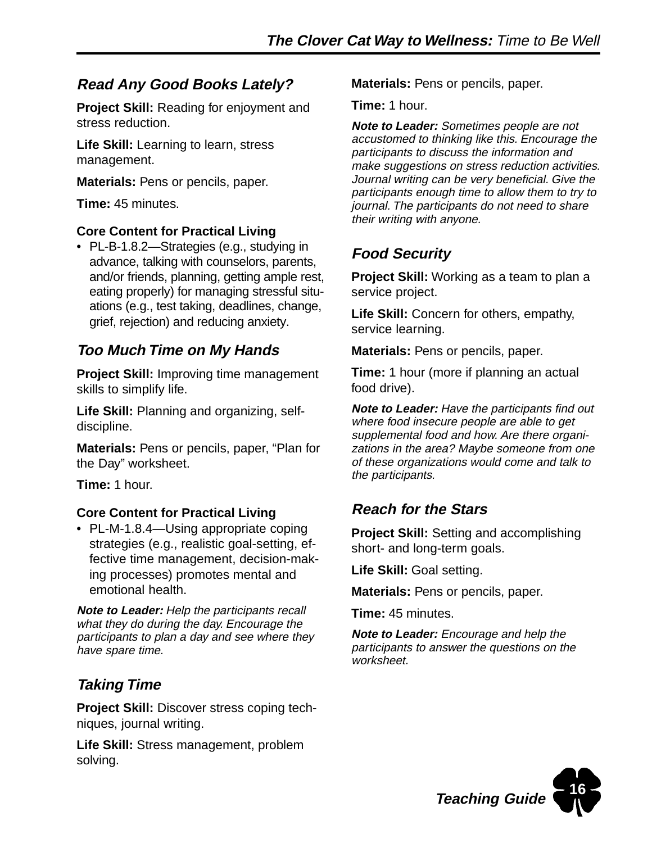### **Read Any Good Books Lately?**

**Project Skill:** Reading for enjoyment and stress reduction.

**Life Skill:** Learning to learn, stress management.

**Materials:** Pens or pencils, paper.

**Time:** 45 minutes.

#### **Core Content for Practical Living**

• PL-B-1.8.2—Strategies (e.g., studying in advance, talking with counselors, parents, and/or friends, planning, getting ample rest, eating properly) for managing stressful situations (e.g., test taking, deadlines, change, grief, rejection) and reducing anxiety.

### **Too Much Time on My Hands**

**Project Skill:** Improving time management skills to simplify life.

**Life Skill:** Planning and organizing, selfdiscipline.

**Materials:** Pens or pencils, paper, "Plan for the Day" worksheet.

**Time:** 1 hour.

#### **Core Content for Practical Living**

• PL-M-1.8.4—Using appropriate coping strategies (e.g., realistic goal-setting, effective time management, decision-making processes) promotes mental and emotional health.

**Note to Leader:** Help the participants recall what they do during the day. Encourage the participants to plan a day and see where they have spare time.

### **Taking Time**

**Project Skill:** Discover stress coping techniques, journal writing.

**Life Skill:** Stress management, problem solving.

**Materials:** Pens or pencils, paper.

**Time:** 1 hour.

**Note to Leader:** Sometimes people are not accustomed to thinking like this. Encourage the participants to discuss the information and make suggestions on stress reduction activities. Journal writing can be very beneficial. Give the participants enough time to allow them to try to journal. The participants do not need to share their writing with anyone.

## **Food Security**

**Project Skill:** Working as a team to plan a service project.

**Life Skill:** Concern for others, empathy, service learning.

**Materials:** Pens or pencils, paper.

**Time:** 1 hour (more if planning an actual food drive).

**Note to Leader:** Have the participants find out where food insecure people are able to get supplemental food and how. Are there organizations in the area? Maybe someone from one of these organizations would come and talk to the participants.

## **Reach for the Stars**

**Project Skill:** Setting and accomplishing short- and long-term goals.

**Life Skill:** Goal setting.

**Materials:** Pens or pencils, paper.

**Time:** 45 minutes.

**Note to Leader:** Encourage and help the participants to answer the questions on the worksheet.

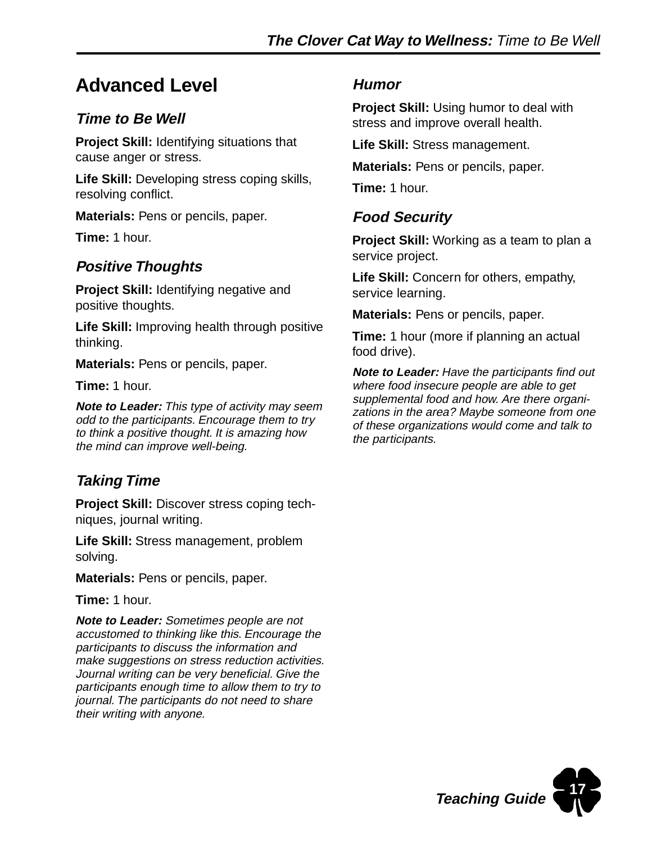## **Advanced Level**

### **Time to Be Well**

**Project Skill:** Identifying situations that cause anger or stress.

**Life Skill:** Developing stress coping skills, resolving conflict.

**Materials:** Pens or pencils, paper.

**Time:** 1 hour.

### **Positive Thoughts**

**Project Skill:** Identifying negative and positive thoughts.

**Life Skill:** Improving health through positive thinking.

**Materials:** Pens or pencils, paper.

**Time:** 1 hour.

**Note to Leader:** This type of activity may seem odd to the participants. Encourage them to try to think a positive thought. It is amazing how the mind can improve well-being.

### **Taking Time**

**Project Skill:** Discover stress coping techniques, journal writing.

**Life Skill:** Stress management, problem solving.

**Materials:** Pens or pencils, paper.

**Time:** 1 hour.

**Note to Leader:** Sometimes people are not accustomed to thinking like this. Encourage the participants to discuss the information and make suggestions on stress reduction activities. Journal writing can be very beneficial. Give the participants enough time to allow them to try to journal. The participants do not need to share their writing with anyone.

#### **Humor**

**Project Skill:** Using humor to deal with stress and improve overall health.

**Life Skill:** Stress management.

**Materials:** Pens or pencils, paper.

**Time:** 1 hour.

### **Food Security**

**Project Skill:** Working as a team to plan a service project.

**Life Skill:** Concern for others, empathy, service learning.

**Materials:** Pens or pencils, paper.

**Time:** 1 hour (more if planning an actual food drive).

**Note to Leader:** Have the participants find out where food insecure people are able to get supplemental food and how. Are there organizations in the area? Maybe someone from one of these organizations would come and talk to the participants.

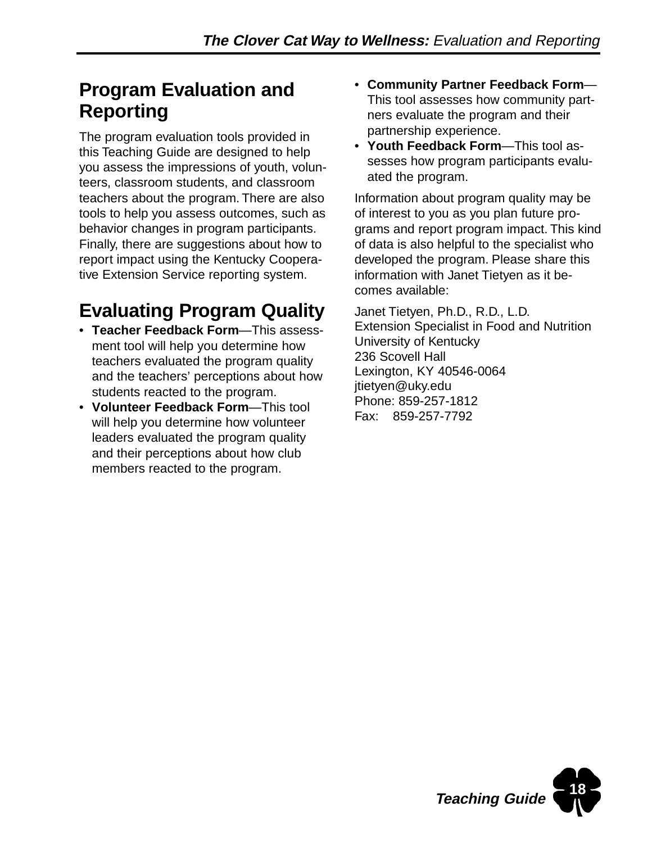## **Program Evaluation and Reporting**

The program evaluation tools provided in this Teaching Guide are designed to help you assess the impressions of youth, volunteers, classroom students, and classroom teachers about the program. There are also tools to help you assess outcomes, such as behavior changes in program participants. Finally, there are suggestions about how to report impact using the Kentucky Cooperative Extension Service reporting system.

## **Evaluating Program Quality**

- **Teacher Feedback Form**—This assessment tool will help you determine how teachers evaluated the program quality and the teachers' perceptions about how students reacted to the program.
- **Volunteer Feedback Form**—This tool will help you determine how volunteer leaders evaluated the program quality and their perceptions about how club members reacted to the program.
- **Community Partner Feedback Form** This tool assesses how community partners evaluate the program and their partnership experience.
- **Youth Feedback Form**—This tool assesses how program participants evaluated the program.

Information about program quality may be of interest to you as you plan future programs and report program impact. This kind of data is also helpful to the specialist who developed the program. Please share this information with Janet Tietyen as it becomes available:

Janet Tietyen, Ph.D., R.D., L.D. Extension Specialist in Food and Nutrition University of Kentucky 236 Scovell Hall Lexington, KY 40546-0064 jtietyen@uky.edu Phone: 859-257-1812 Fax: 859-257-7792

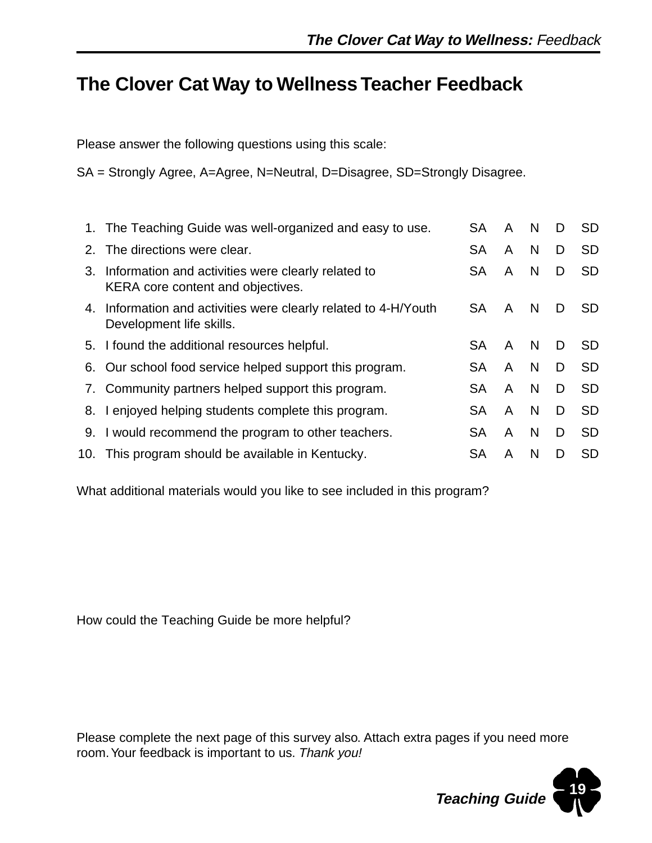## **The Clover Cat Way to Wellness Teacher Feedback**

Please answer the following questions using this scale:

SA = Strongly Agree, A=Agree, N=Neutral, D=Disagree, SD=Strongly Disagree.

|    | 1. The Teaching Guide was well-organized and easy to use.                                   | <b>SA</b> | A | N  | D | <b>SD</b> |
|----|---------------------------------------------------------------------------------------------|-----------|---|----|---|-----------|
| 2. | The directions were clear.                                                                  | <b>SA</b> | A | N  | D | <b>SD</b> |
|    | 3. Information and activities were clearly related to<br>KERA core content and objectives.  | <b>SA</b> | A | N  | D | <b>SD</b> |
|    | 4. Information and activities were clearly related to 4-H/Youth<br>Development life skills. | <b>SA</b> | A | N. | D | SD.       |
|    | 5. I found the additional resources helpful.                                                | SA        | A | N  | D | <b>SD</b> |
|    | 6. Our school food service helped support this program.                                     | <b>SA</b> | A | N  | D | <b>SD</b> |
|    | 7. Community partners helped support this program.                                          | <b>SA</b> | A | N  | D | <b>SD</b> |
|    | 8. I enjoyed helping students complete this program.                                        | <b>SA</b> | A | N  | D | <b>SD</b> |
|    | 9. I would recommend the program to other teachers.                                         | <b>SA</b> | A | N  | D | <b>SD</b> |
|    | 10. This program should be available in Kentucky.                                           | SA        | A | N  | D | <b>SD</b> |

What additional materials would you like to see included in this program?

How could the Teaching Guide be more helpful?

Please complete the next page of this survey also. Attach extra pages if you need more room. Your feedback is important to us. Thank you!

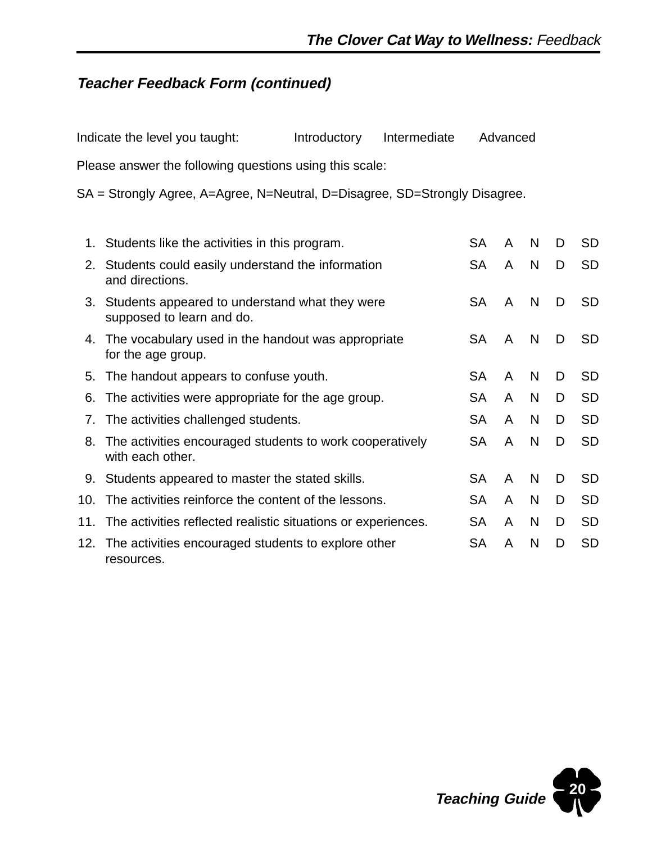### **Teacher Feedback Form (continued)**

|    | Indicate the level you taught:                                                  | Introductory | Intermediate |           | Advanced |   |   |           |
|----|---------------------------------------------------------------------------------|--------------|--------------|-----------|----------|---|---|-----------|
|    | Please answer the following questions using this scale:                         |              |              |           |          |   |   |           |
|    | SA = Strongly Agree, A=Agree, N=Neutral, D=Disagree, SD=Strongly Disagree.      |              |              |           |          |   |   |           |
| 1. | Students like the activities in this program.                                   |              |              | <b>SA</b> | A        | N | D | <b>SD</b> |
|    | 2. Students could easily understand the information<br>and directions.          |              |              |           | A        | N | D | <b>SD</b> |
|    | 3. Students appeared to understand what they were<br>supposed to learn and do.  |              |              |           | A        | N | D | <b>SD</b> |
|    | 4. The vocabulary used in the handout was appropriate<br>for the age group.     |              |              |           | A        | N | D | <b>SD</b> |
|    | 5. The handout appears to confuse youth.                                        |              |              | <b>SA</b> | A        | N | D | <b>SD</b> |
| 6. | The activities were appropriate for the age group.                              |              |              | <b>SA</b> | A        | N | D | <b>SD</b> |
| 7. | The activities challenged students.                                             |              |              | <b>SA</b> | A        | N | D | <b>SD</b> |
|    | 8. The activities encouraged students to work cooperatively<br>with each other. |              |              | SA        | A        | N | D | <b>SD</b> |
|    | 9. Students appeared to master the stated skills.                               |              |              | <b>SA</b> | A        | N | D | <b>SD</b> |
|    | 10. The activities reinforce the content of the lessons.                        |              |              | <b>SA</b> | A        | N | D | <b>SD</b> |

11. The activities reflected realistic situations or experiences. SA A N D SD 12. The activities encouraged students to explore other SA A N D SD resources.

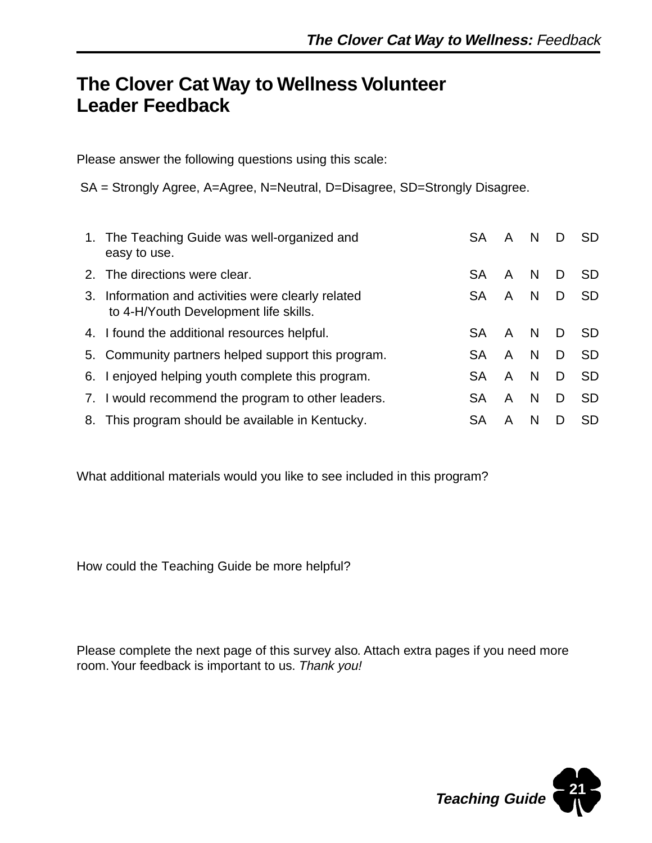## **The Clover Cat Way to Wellness Volunteer Leader Feedback**

Please answer the following questions using this scale:

SA = Strongly Agree, A=Agree, N=Neutral, D=Disagree, SD=Strongly Disagree.

| 1. The Teaching Guide was well-organized and<br>easy to use.                                | <b>SA</b> | A | N            | D  | <b>SD</b> |
|---------------------------------------------------------------------------------------------|-----------|---|--------------|----|-----------|
| 2. The directions were clear.                                                               | <b>SA</b> | A | <sub>N</sub> | D. | SD.       |
| 3. Information and activities were clearly related<br>to 4-H/Youth Development life skills. | <b>SA</b> | A | N            | D  | <b>SD</b> |
| 4. I found the additional resources helpful.                                                | <b>SA</b> | A | <sub>N</sub> | D. | SD.       |
| 5. Community partners helped support this program.                                          | <b>SA</b> | A | <sub>N</sub> | D  | <b>SD</b> |
| 6. I enjoyed helping youth complete this program.                                           | <b>SA</b> | A | N            | D. | <b>SD</b> |
| 7. I would recommend the program to other leaders.                                          | <b>SA</b> | A | N            | D. | <b>SD</b> |
| 8. This program should be available in Kentucky.                                            | <b>SA</b> | A | N            | D  | <b>SD</b> |

What additional materials would you like to see included in this program?

How could the Teaching Guide be more helpful?

Please complete the next page of this survey also. Attach extra pages if you need more room. Your feedback is important to us. Thank you!

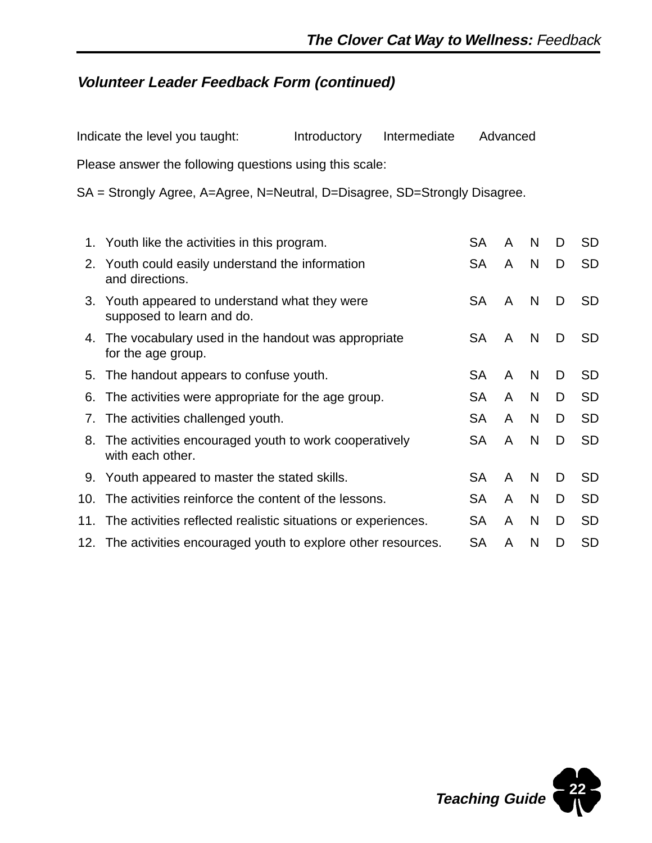## **Volunteer Leader Feedback Form (continued)**

| Indicate the level you taught:                                             | Introductory | Intermediate |     | Advanced     |              |   |           |
|----------------------------------------------------------------------------|--------------|--------------|-----|--------------|--------------|---|-----------|
| Please answer the following questions using this scale:                    |              |              |     |              |              |   |           |
| SA = Strongly Agree, A=Agree, N=Neutral, D=Disagree, SD=Strongly Disagree. |              |              |     |              |              |   |           |
| 1. Youth like the activities in this program.                              |              |              | SA. | $\mathsf{A}$ | <sub>N</sub> | D | <b>SD</b> |
| 2. Youth could easily understand the information                           |              |              | SA  | A            | N            |   | SD        |

| 2. Youth could easily understand the information<br>and directions.          | SА        | $\overline{A}$ | <b>IN</b> | - D | 5D        |
|------------------------------------------------------------------------------|-----------|----------------|-----------|-----|-----------|
| 3. Youth appeared to understand what they were<br>supposed to learn and do.  | SA        | A              | N         | D   | SD.       |
| 4. The vocabulary used in the handout was appropriate<br>for the age group.  | SA        | A              | N         | D   | SD.       |
| 5. The handout appears to confuse youth.                                     | SA        | A              | N         | D   | <b>SD</b> |
| 6. The activities were appropriate for the age group.                        | SA        | A              | N         | D   | <b>SD</b> |
| 7. The activities challenged youth.                                          | <b>SA</b> | A              | N         | D   | <b>SD</b> |
| 8. The activities encouraged youth to work cooperatively<br>with each other. | SA        | A              | N         | D   | <b>SD</b> |
| 9. Youth appeared to master the stated skills.                               | SA        | A              | N         | D   | <b>SD</b> |
| 10. The activities reinforce the content of the lessons.                     | SA.       | A              | N         | D   | <b>SD</b> |
| 11. The activities reflected realistic situations or experiences.            | SA        | A              | N         | D   | <b>SD</b> |
| 12. The activities encouraged youth to explore other resources.              | SA        | A              | N         | D   | <b>SD</b> |

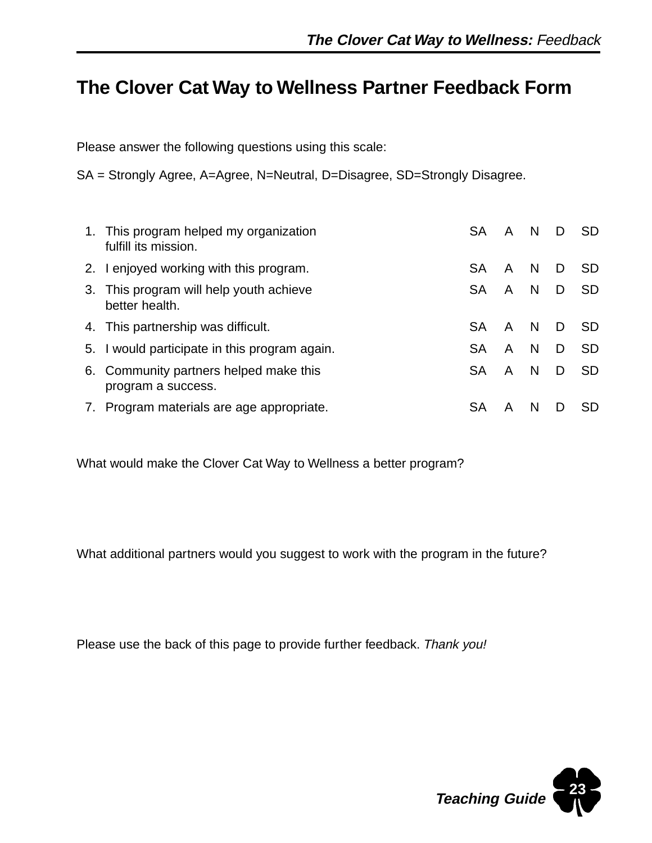## **The Clover Cat Way to Wellness Partner Feedback Form**

Please answer the following questions using this scale:

SA = Strongly Agree, A=Agree, N=Neutral, D=Disagree, SD=Strongly Disagree.

| 1. This program helped my organization<br>fulfill its mission. | <b>SA</b> | A | N.           | D | <b>SD</b> |
|----------------------------------------------------------------|-----------|---|--------------|---|-----------|
| 2. I enjoyed working with this program.                        | <b>SA</b> | A | <sup>N</sup> | D | SD.       |
| 3. This program will help youth achieve<br>better health.      | <b>SA</b> | A | N            | D | -SD       |
| 4. This partnership was difficult.                             | <b>SA</b> | A | N.           | D | SD.       |
| 5. I would participate in this program again.                  | <b>SA</b> | A | N.           | D | <b>SD</b> |
| 6. Community partners helped make this<br>program a success.   | <b>SA</b> | A | <sup>N</sup> | D | SD.       |
| 7. Program materials are age appropriate.                      | SA        |   | N            |   | SD.       |

What would make the Clover Cat Way to Wellness a better program?

What additional partners would you suggest to work with the program in the future?

Please use the back of this page to provide further feedback. Thank you!

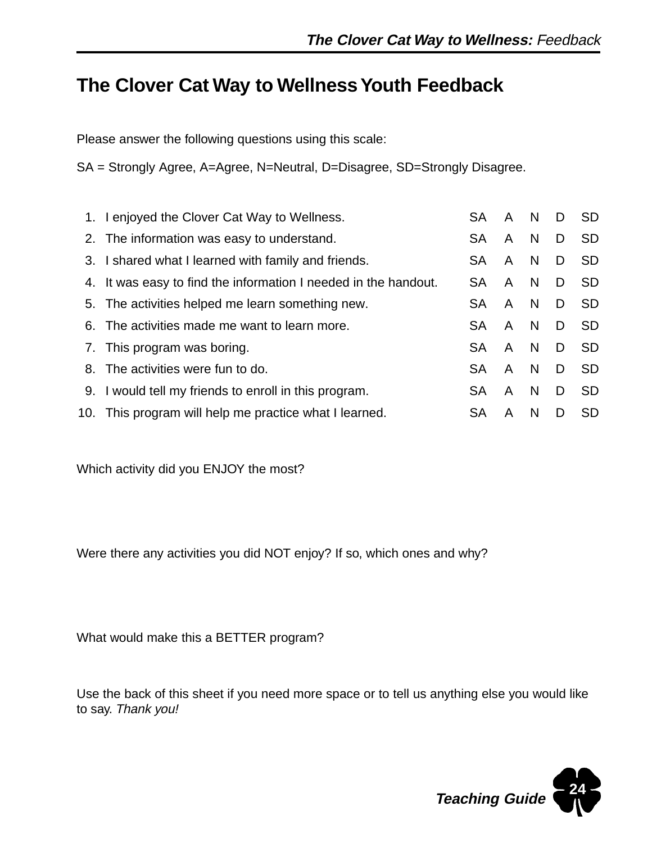## **The Clover Cat Way to Wellness Youth Feedback**

Please answer the following questions using this scale:

SA = Strongly Agree, A=Agree, N=Neutral, D=Disagree, SD=Strongly Disagree.

| 1. I enjoyed the Clover Cat Way to Wellness.                    | <b>SA</b> | A | N            | D | <b>SD</b> |
|-----------------------------------------------------------------|-----------|---|--------------|---|-----------|
| 2. The information was easy to understand.                      | <b>SA</b> | A | N            | D | <b>SD</b> |
| 3. I shared what I learned with family and friends.             | SA.       | A | N.           | D | <b>SD</b> |
| 4. It was easy to find the information I needed in the handout. | <b>SA</b> | A | <sub>N</sub> | D | <b>SD</b> |
| 5. The activities helped me learn something new.                | SA.       | A | N.           | D | <b>SD</b> |
| 6. The activities made me want to learn more.                   | <b>SA</b> | A | N            | D | <b>SD</b> |
| 7. This program was boring.                                     | <b>SA</b> | A | N            | D | <b>SD</b> |
| 8. The activities were fun to do.                               | <b>SA</b> | A | N            | D | <b>SD</b> |
| 9. I would tell my friends to enroll in this program.           | SA.       | A | N.           | D | <b>SD</b> |
| 10. This program will help me practice what I learned.          | SA        | A | N            | D | <b>SD</b> |

Which activity did you ENJOY the most?

Were there any activities you did NOT enjoy? If so, which ones and why?

What would make this a BETTER program?

Use the back of this sheet if you need more space or to tell us anything else you would like to say. Thank you!

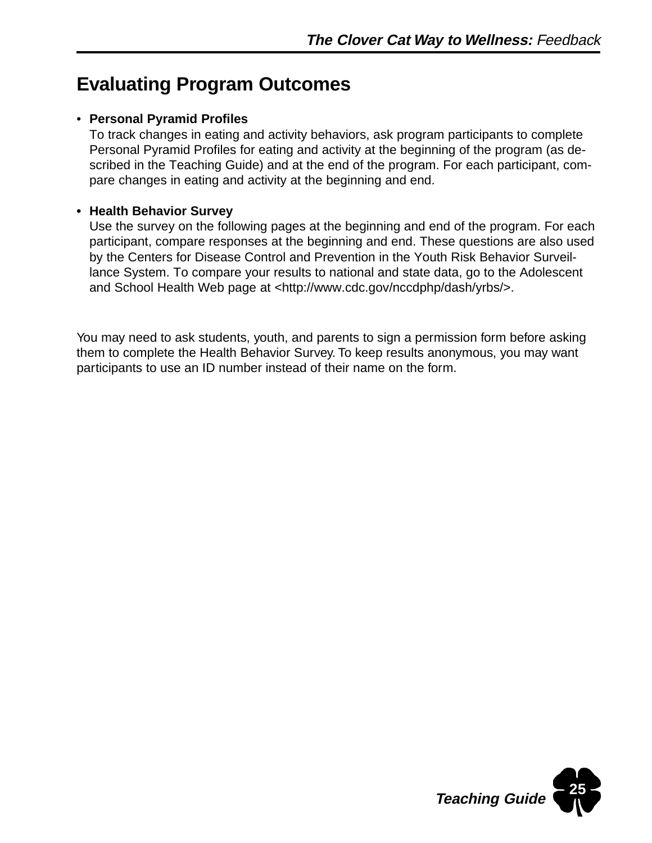## **Evaluating Program Outcomes**

#### • **Personal Pyramid Profiles**

To track changes in eating and activity behaviors, ask program participants to complete Personal Pyramid Profiles for eating and activity at the beginning of the program (as described in the Teaching Guide) and at the end of the program. For each participant, compare changes in eating and activity at the beginning and end.

#### **• Health Behavior Survey**

Use the survey on the following pages at the beginning and end of the program. For each participant, compare responses at the beginning and end. These questions are also used by the Centers for Disease Control and Prevention in the Youth Risk Behavior Surveillance System. To compare your results to national and state data, go to the Adolescent and School Health Web page at <http://www.cdc.gov/nccdphp/dash/yrbs/>.

You may need to ask students, youth, and parents to sign a permission form before asking them to complete the Health Behavior Survey. To keep results anonymous, you may want participants to use an ID number instead of their name on the form.

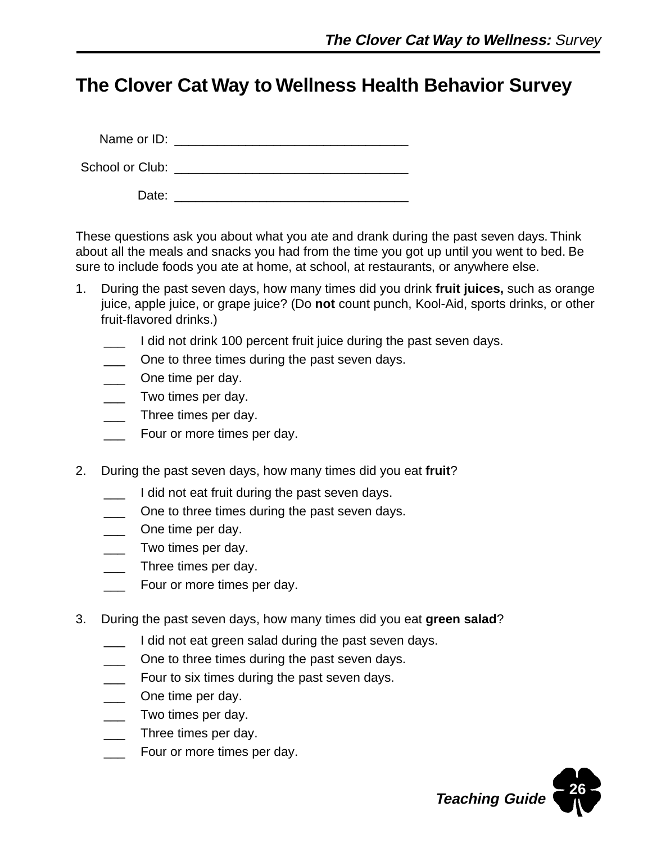## **The Clover Cat Way to Wellness Health Behavior Survey**

Name or ID:  $\blacksquare$ 

School or Club: \_\_\_\_\_\_\_\_\_\_\_\_\_\_\_\_\_\_\_\_\_\_\_\_\_\_\_\_\_\_\_\_\_

Date: \_\_\_\_\_\_\_\_\_\_\_\_\_\_\_\_\_\_\_\_\_\_\_\_\_\_\_\_\_\_\_\_\_

These questions ask you about what you ate and drank during the past seven days. Think about all the meals and snacks you had from the time you got up until you went to bed. Be sure to include foods you ate at home, at school, at restaurants, or anywhere else.

- 1. During the past seven days, how many times did you drink **fruit juices,** such as orange juice, apple juice, or grape juice? (Do **not** count punch, Kool-Aid, sports drinks, or other fruit-flavored drinks.)
	- I did not drink 100 percent fruit juice during the past seven days.
	- One to three times during the past seven days.
	- One time per day.
	- \_\_\_ Two times per day.
	- Three times per day.
	- Four or more times per day.
- 2. During the past seven days, how many times did you eat **fruit**?
	- I did not eat fruit during the past seven days.
	- One to three times during the past seven days.
	- \_\_\_ One time per day.
	- Two times per day.
	- **EXECUTE:** Three times per day.
	- Four or more times per day.
- 3. During the past seven days, how many times did you eat **green salad**?
	- **The I** did not eat green salad during the past seven days.
	- One to three times during the past seven days.
	- **EXEC FOUT TO SIX THERE SET ALSO EXET** FOUT to six times during the past seven days.
	- \_\_\_ One time per day.
	- Two times per day.
	- \_\_\_ Three times per day.
	- \_\_\_ Four or more times per day.

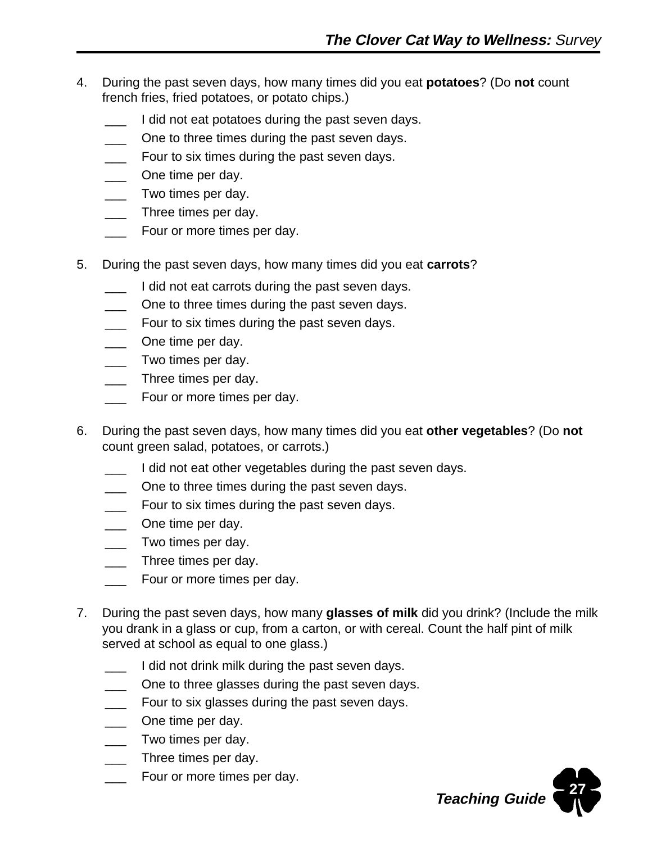- 4. During the past seven days, how many times did you eat **potatoes**? (Do **not** count french fries, fried potatoes, or potato chips.)
	- I did not eat potatoes during the past seven days.
	- One to three times during the past seven days.
	- Four to six times during the past seven days.
	- One time per day.
	- Two times per day.
	- Three times per day.
	- Four or more times per day.
- 5. During the past seven days, how many times did you eat **carrots**?
	- I did not eat carrots during the past seven days.
	- One to three times during the past seven days.
	- Four to six times during the past seven days.
	- One time per day.
	- Two times per day.
	- Three times per day.
	- **\_\_\_** Four or more times per day.
- 6. During the past seven days, how many times did you eat **other vegetables**? (Do **not** count green salad, potatoes, or carrots.)
	- I did not eat other vegetables during the past seven days.
	- One to three times during the past seven days.
	- Four to six times during the past seven days.
	- One time per day.
	- \_\_\_ Two times per day.
	- Three times per day.
	- Four or more times per day.
- 7. During the past seven days, how many **glasses of milk** did you drink? (Include the milk you drank in a glass or cup, from a carton, or with cereal. Count the half pint of milk served at school as equal to one glass.)
	- I did not drink milk during the past seven days.
	- One to three glasses during the past seven days.
	- Four to six glasses during the past seven days.
	- One time per day.
	- Two times per day.
	- Three times per day.
	- Four or more times per day.

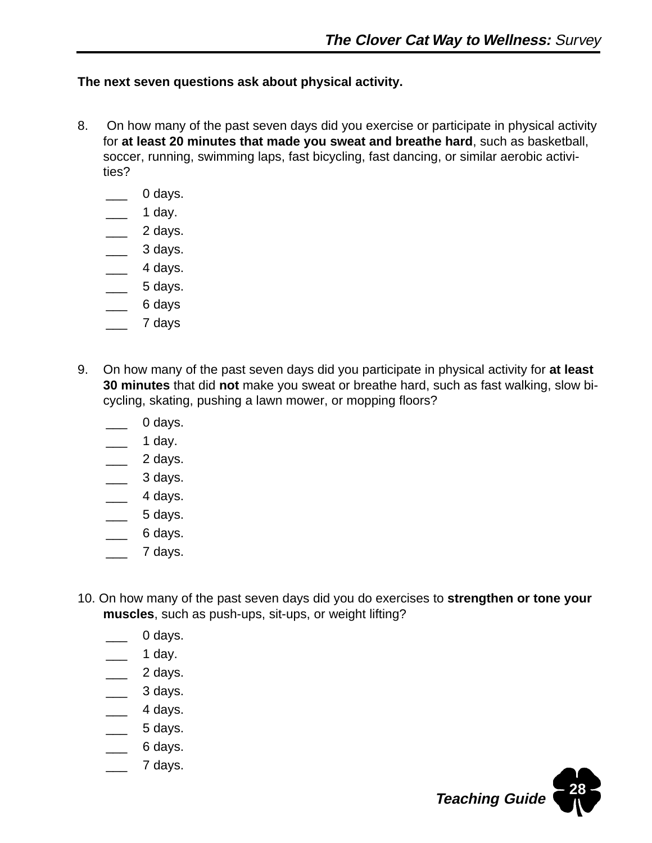#### **The next seven questions ask about physical activity.**

- 8. On how many of the past seven days did you exercise or participate in physical activity for **at least 20 minutes that made you sweat and breathe hard**, such as basketball, soccer, running, swimming laps, fast bicycling, fast dancing, or similar aerobic activities?
	- 0 days.
	- \_\_\_ 1 day.
	- $\overline{\phantom{a}}$  2 days.
	- \_\_\_ 3 days.
	- $\overline{\phantom{a}}$  4 days.
	- $\overline{\phantom{a}}$  5 days.
	- $\equiv$  6 days
	- \_\_\_ 7 days
- 9. On how many of the past seven days did you participate in physical activity for **at least 30 minutes** that did **not** make you sweat or breathe hard, such as fast walking, slow bicycling, skating, pushing a lawn mower, or mopping floors?
	- 0 days.
	- \_\_\_ 1 day.
	- $\frac{2}{3}$  days.
	- $\frac{1}{2}$  3 days.
	- $\equiv$  4 days.
	- $\equiv$  5 days.
	- \_\_\_ 6 days.
	- \_\_\_ 7 days.
- 10. On how many of the past seven days did you do exercises to **strengthen or tone your muscles**, such as push-ups, sit-ups, or weight lifting?
	- 0 days.
	- \_\_\_ 1 day.
	- $\frac{2}{2}$  days.
	- $\overline{\phantom{a}}$  3 days.
	- 4 days.
	- $\equiv$  5 days.
	- \_\_\_ 6 days.
	- \_\_\_ 7 days.

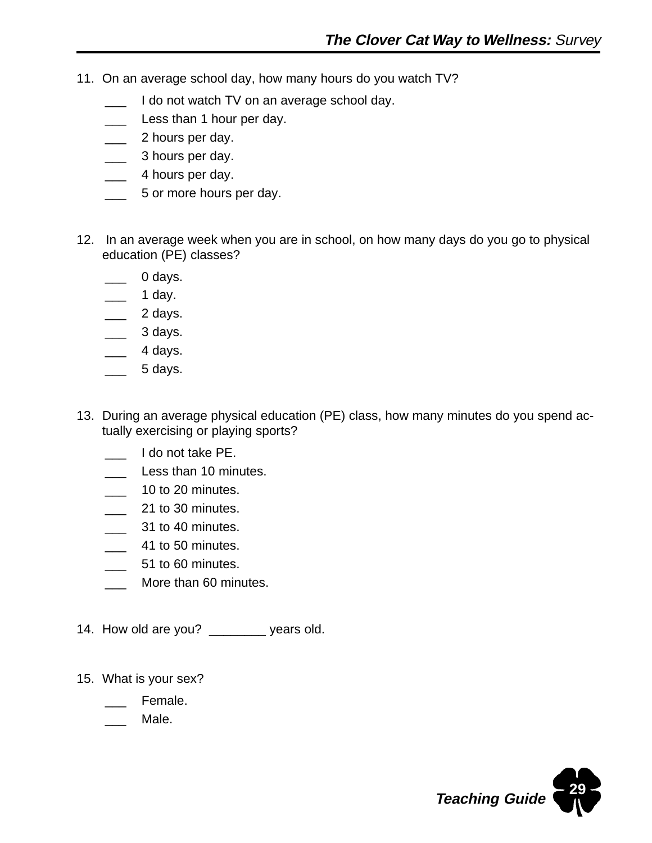- 11. On an average school day, how many hours do you watch TV?
	- I do not watch TV on an average school day.
	- Less than 1 hour per day.
	- \_\_\_ 2 hours per day.
	- \_\_\_ 3 hours per day.
	- \_\_\_ 4 hours per day.
	- **\_\_\_** 5 or more hours per day.
- 12. In an average week when you are in school, on how many days do you go to physical education (PE) classes?
	- 0 days.
	- $\equiv$  1 day.
	- $\frac{1}{2}$  2 days.
	- $\frac{3 \text{ days}}{2}$ .
	- $\frac{4 \text{ days}}{4}$ .
	- $\overline{\phantom{a}}$  5 days.
- 13. During an average physical education (PE) class, how many minutes do you spend actually exercising or playing sports?
	- \_\_\_ I do not take PE.
	- Less than 10 minutes.
	- **\_\_\_** 10 to 20 minutes.
	- **\_\_\_** 21 to 30 minutes.
	- \_\_\_ 31 to 40 minutes.
	- **12.13** 41 to 50 minutes.
	- $\frac{1}{2}$  51 to 60 minutes.
	- More than 60 minutes.
- 14. How old are you? \_\_\_\_\_\_\_\_ years old.
- 15. What is your sex?
	- Female.
	- Male.

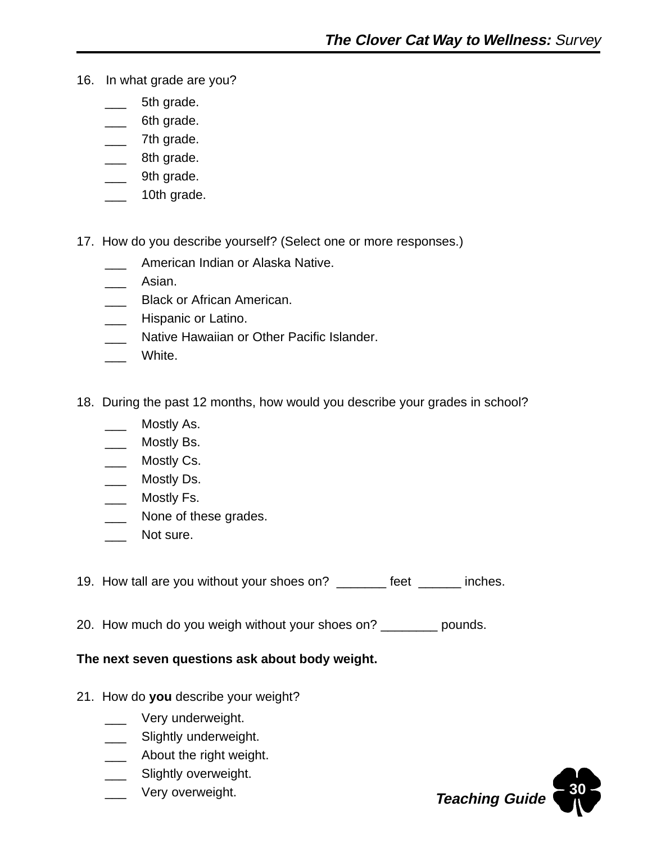- 16. In what grade are you?
	- 5th grade.
	- 6th grade.
	- \_\_\_ 7th grade.
	- \_\_\_ 8th grade.
	- \_\_\_ 9th grade.
	- \_\_\_ 10th grade.
- 17. How do you describe yourself? (Select one or more responses.)
	- American Indian or Alaska Native.
	- Asian.
	- **Black or African American.**
	- \_\_\_ Hispanic or Latino.
	- \_\_\_ Native Hawaiian or Other Pacific Islander.
	- White.
- 18. During the past 12 months, how would you describe your grades in school?
	- Mostly As.
	- \_\_\_ Mostly Bs.
	- \_\_\_ Mostly Cs.
	- \_\_\_ Mostly Ds.
	- \_\_\_ Mostly Fs.
	- \_\_\_ None of these grades.
	- \_\_\_ Not sure.
- 19. How tall are you without your shoes on? \_\_\_\_\_\_\_ feet \_\_\_\_\_\_ inches.
- 20. How much do you weigh without your shoes on? \_\_\_\_\_\_\_\_ pounds.

#### **The next seven questions ask about body weight.**

- 21. How do **you** describe your weight?
	- \_\_\_ Very underweight.
	- \_\_\_\_ Slightly underweight.
	- \_\_\_\_ About the right weight.
	- \_\_\_ Slightly overweight.
	- Very overweight.

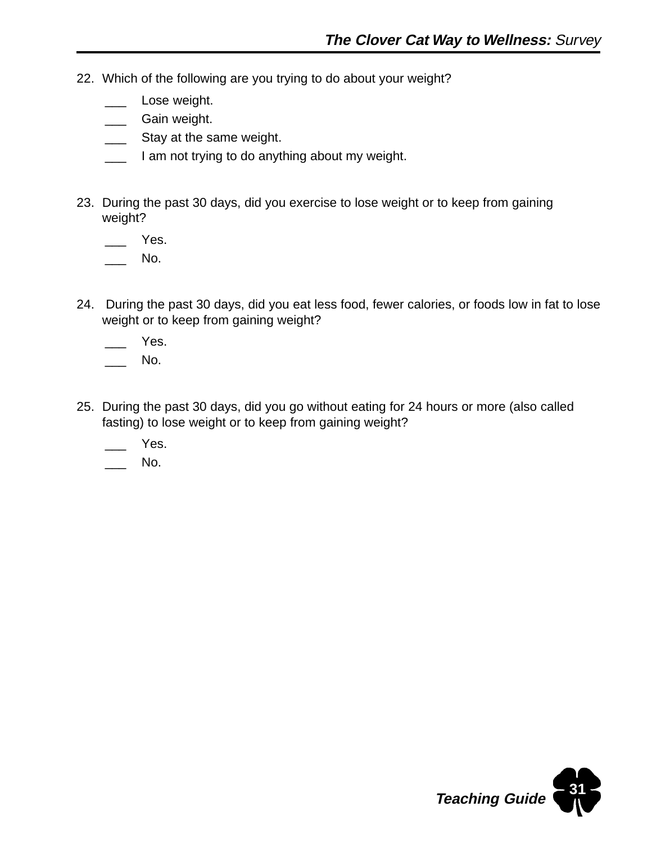- 22. Which of the following are you trying to do about your weight?
	- Lose weight.
	- \_\_\_ Gain weight.
	- Stay at the same weight.
	- I am not trying to do anything about my weight.
- 23. During the past 30 days, did you exercise to lose weight or to keep from gaining weight?

Yes.

No.

24. During the past 30 days, did you eat less food, fewer calories, or foods low in fat to lose weight or to keep from gaining weight?

Yes.

No.

- 25. During the past 30 days, did you go without eating for 24 hours or more (also called fasting) to lose weight or to keep from gaining weight?
	- Yes.

No.

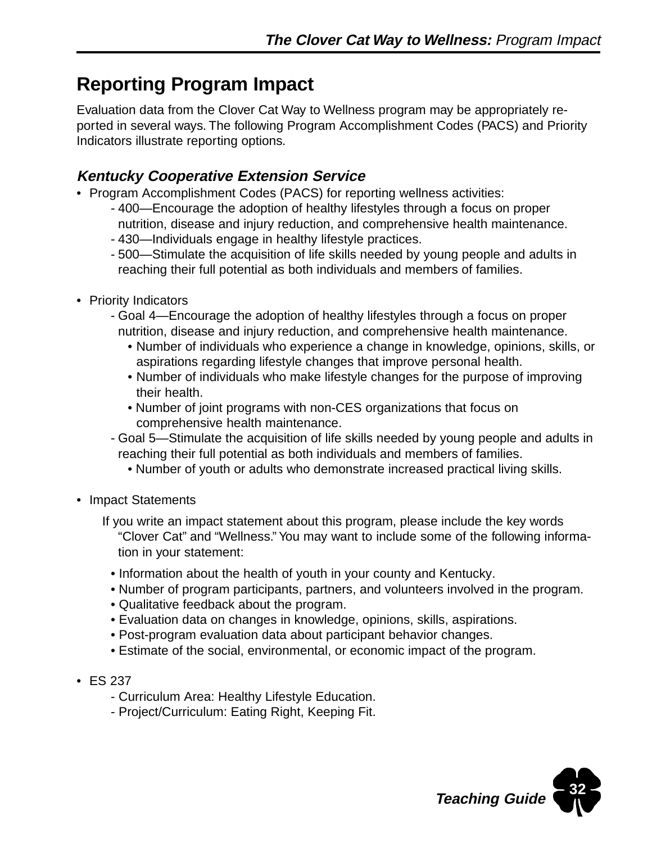## **Reporting Program Impact**

Evaluation data from the Clover Cat Way to Wellness program may be appropriately reported in several ways. The following Program Accomplishment Codes (PACS) and Priority Indicators illustrate reporting options.

### **Kentucky Cooperative Extension Service**

- Program Accomplishment Codes (PACS) for reporting wellness activities:
	- 400—Encourage the adoption of healthy lifestyles through a focus on proper nutrition, disease and injury reduction, and comprehensive health maintenance.
	- 430—Individuals engage in healthy lifestyle practices.
	- 500—Stimulate the acquisition of life skills needed by young people and adults in reaching their full potential as both individuals and members of families.
- Priority Indicators
	- Goal 4—Encourage the adoption of healthy lifestyles through a focus on proper nutrition, disease and injury reduction, and comprehensive health maintenance.
		- Number of individuals who experience a change in knowledge, opinions, skills, or aspirations regarding lifestyle changes that improve personal health.
		- Number of individuals who make lifestyle changes for the purpose of improving their health.
		- Number of joint programs with non-CES organizations that focus on comprehensive health maintenance.
	- Goal 5—Stimulate the acquisition of life skills needed by young people and adults in reaching their full potential as both individuals and members of families.
		- Number of youth or adults who demonstrate increased practical living skills.
- Impact Statements
	- If you write an impact statement about this program, please include the key words "Clover Cat" and "Wellness." You may want to include some of the following information in your statement:
		- Information about the health of youth in your county and Kentucky.
		- Number of program participants, partners, and volunteers involved in the program.
		- Qualitative feedback about the program.
		- Evaluation data on changes in knowledge, opinions, skills, aspirations.
		- Post-program evaluation data about participant behavior changes.
		- Estimate of the social, environmental, or economic impact of the program.
- ES 237
	- Curriculum Area: Healthy Lifestyle Education.
	- Project/Curriculum: Eating Right, Keeping Fit.

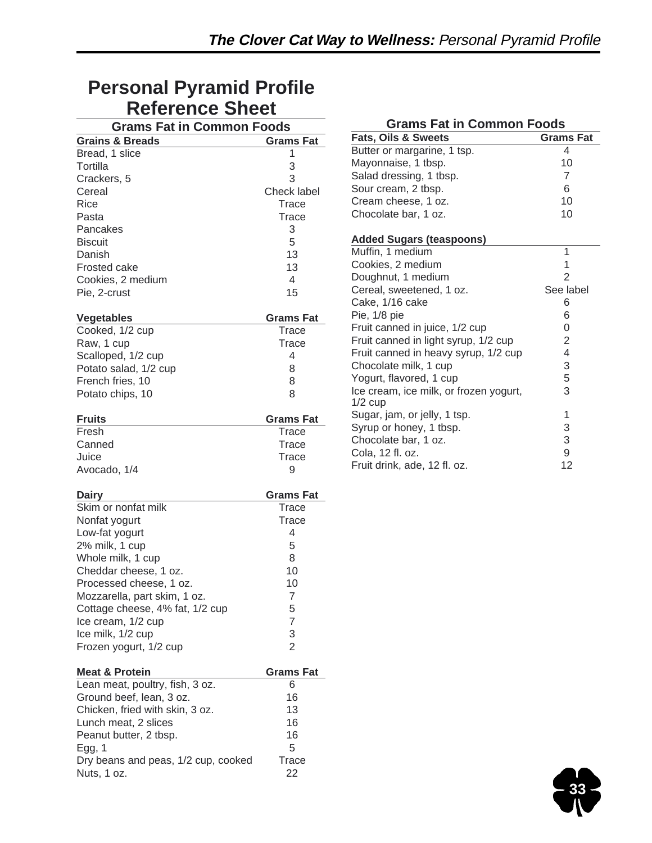## **Personal Pyramid Profile Reference Sheet**

| <b>Grams Fat in Common Foods</b>                             |                  |  |  |  |  |
|--------------------------------------------------------------|------------------|--|--|--|--|
| <b>Grains &amp; Breads</b>                                   | <b>Grams Fat</b> |  |  |  |  |
| Bread, 1 slice                                               | 1                |  |  |  |  |
| Tortilla                                                     | 3                |  |  |  |  |
| Crackers, 5                                                  | 3                |  |  |  |  |
| Cereal                                                       | Check label      |  |  |  |  |
| Rice                                                         | <b>Trace</b>     |  |  |  |  |
| Pasta                                                        | <b>Trace</b>     |  |  |  |  |
| Pancakes                                                     | 3                |  |  |  |  |
| <b>Biscuit</b>                                               | 5                |  |  |  |  |
| Danish                                                       | 13               |  |  |  |  |
| <b>Frosted cake</b>                                          | 13               |  |  |  |  |
| Cookies, 2 medium                                            | 4                |  |  |  |  |
| Pie, 2-crust                                                 | 15               |  |  |  |  |
|                                                              |                  |  |  |  |  |
| <b>Vegetables</b>                                            | Grams Fat        |  |  |  |  |
| Cooked, 1/2 cup                                              | Trace            |  |  |  |  |
| Raw, 1 cup                                                   | <b>Trace</b>     |  |  |  |  |
| Scalloped, 1/2 cup                                           | 4                |  |  |  |  |
| Potato salad, 1/2 cup                                        | 8                |  |  |  |  |
| French fries, 10                                             | 8                |  |  |  |  |
| Potato chips, 10                                             | 8                |  |  |  |  |
| <b>Fruits</b>                                                | Grams Fat        |  |  |  |  |
| Fresh                                                        | Trace            |  |  |  |  |
| Canned                                                       | <b>Trace</b>     |  |  |  |  |
| Juice                                                        | Trace            |  |  |  |  |
| Avocado, 1/4                                                 | 9                |  |  |  |  |
|                                                              |                  |  |  |  |  |
| Dairy                                                        | Grams Fat        |  |  |  |  |
| Skim or nonfat milk                                          | <b>Trace</b>     |  |  |  |  |
| Nonfat yogurt                                                | Trace            |  |  |  |  |
| Low-fat yogurt                                               | 4                |  |  |  |  |
| 2% milk, 1 cup                                               | 5                |  |  |  |  |
| Whole milk, 1 cup                                            | 8                |  |  |  |  |
| Cheddar cheese, 1 oz.                                        | 10               |  |  |  |  |
| Processed cheese, 1 oz.                                      | 10               |  |  |  |  |
| Mozzarella, part skim, 1 oz.                                 | $\overline{7}$   |  |  |  |  |
| Cottage cheese, 4% fat, 1/2 cup                              | 5                |  |  |  |  |
| Ice cream, 1/2 cup                                           | $\overline{7}$   |  |  |  |  |
| Ice milk, 1/2 cup                                            | $\frac{3}{2}$    |  |  |  |  |
| Frozen yogurt, 1/2 cup                                       |                  |  |  |  |  |
|                                                              |                  |  |  |  |  |
| <b>Meat &amp; Protein</b><br>Lean meat, poultry, fish, 3 oz. | Grams Fat<br>6   |  |  |  |  |
| Ground beef, lean, 3 oz.                                     | 16               |  |  |  |  |
| Chicken, fried with skin, 3 oz.                              | 13               |  |  |  |  |
| Lunch meat, 2 slices                                         | 16               |  |  |  |  |
| Peanut butter, 2 tbsp.                                       | 16               |  |  |  |  |
|                                                              | 5                |  |  |  |  |
| Egg, $1$<br>Dry beans and peas, 1/2 cup, cooked              | Trace            |  |  |  |  |
| Nuts, 1 oz.                                                  | 22               |  |  |  |  |

| <b>Grams Fat in Common Foods</b>                        |                         |  |  |  |  |  |
|---------------------------------------------------------|-------------------------|--|--|--|--|--|
| <b>Fats, Oils &amp; Sweets</b><br><b>Grams Fat</b>      |                         |  |  |  |  |  |
| Butter or margarine, 1 tsp.                             | 4                       |  |  |  |  |  |
| Mayonnaise, 1 tbsp.                                     | 10                      |  |  |  |  |  |
| Salad dressing, 1 tbsp.                                 | 7                       |  |  |  |  |  |
| Sour cream, 2 tbsp.                                     | 6                       |  |  |  |  |  |
| Cream cheese, 1 oz.                                     | 10                      |  |  |  |  |  |
| Chocolate bar, 1 oz.                                    | 10                      |  |  |  |  |  |
| <b>Added Sugars (teaspoons)</b>                         |                         |  |  |  |  |  |
| Muffin, 1 medium                                        | 1                       |  |  |  |  |  |
| Cookies, 2 medium                                       | 1                       |  |  |  |  |  |
| Doughnut, 1 medium                                      | $\overline{2}$          |  |  |  |  |  |
| Cereal, sweetened, 1 oz.                                | See label               |  |  |  |  |  |
| Cake, 1/16 cake                                         | 6                       |  |  |  |  |  |
| Pie, 1/8 pie                                            | 6                       |  |  |  |  |  |
| Fruit canned in juice, 1/2 cup                          | 0                       |  |  |  |  |  |
| Fruit canned in light syrup, 1/2 cup                    | 2                       |  |  |  |  |  |
| Fruit canned in heavy syrup, 1/2 cup                    | $\overline{\mathbf{4}}$ |  |  |  |  |  |
| Chocolate milk, 1 cup                                   | 3                       |  |  |  |  |  |
| Yogurt, flavored, 1 cup                                 | 5                       |  |  |  |  |  |
| Ice cream, ice milk, or frozen yogurt,                  | 3                       |  |  |  |  |  |
| $1/2$ cup                                               | 1                       |  |  |  |  |  |
| Sugar, jam, or jelly, 1 tsp.<br>Syrup or honey, 1 tbsp. | 3                       |  |  |  |  |  |
| Chocolate bar, 1 oz.                                    | 3                       |  |  |  |  |  |
| Cola, 12 fl. oz.                                        | 9                       |  |  |  |  |  |
| Fruit drink, ade, 12 fl. oz.                            | 12                      |  |  |  |  |  |
|                                                         |                         |  |  |  |  |  |

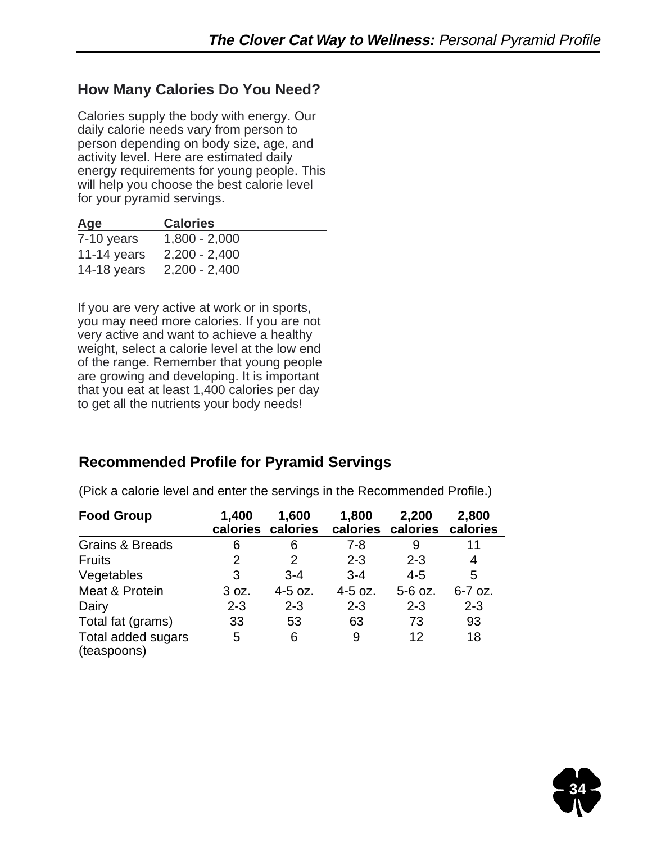### **How Many Calories Do You Need?**

Calories supply the body with energy. Our daily calorie needs vary from person to person depending on body size, age, and activity level. Here are estimated daily energy requirements for young people. This will help you choose the best calorie level for your pyramid servings.

| Age          | <b>Calories</b> |
|--------------|-----------------|
| $7-10$ years | $1,800 - 2,000$ |
| 11-14 years  | $2,200 - 2,400$ |
| 14-18 years  | $2,200 - 2,400$ |

If you are very active at work or in sports, you may need more calories. If you are not very active and want to achieve a healthy weight, select a calorie level at the low end of the range. Remember that young people are growing and developing. It is important that you eat at least 1,400 calories per day to get all the nutrients your body needs!

## **Recommended Profile for Pyramid Servings**

| <b>Food Group</b>                 | 1,400<br>calories | 1,600<br>calories | 1,800<br>calories | 2,200<br>calories | 2,800<br>calories |
|-----------------------------------|-------------------|-------------------|-------------------|-------------------|-------------------|
| <b>Grains &amp; Breads</b>        | 6                 | 6                 | $7 - 8$           | 9                 | 11                |
| <b>Fruits</b>                     | 2                 | 2                 | $2 - 3$           | $2 - 3$           | 4                 |
| Vegetables                        | 3                 | $3 - 4$           | $3 - 4$           | $4 - 5$           | 5                 |
| Meat & Protein                    | 3 oz.             | 4-5 oz.           | $4-5$ oz.         | 5-6 oz.           | $6-7$ oz.         |
| Dairy                             | $2 - 3$           | $2 - 3$           | $2 - 3$           | $2 - 3$           | $2 - 3$           |
| Total fat (grams)                 | 33                | 53                | 63                | 73                | 93                |
| Total added sugars<br>(teaspoons) | 5                 | 6                 | 9                 | 12                | 18                |

(Pick a calorie level and enter the servings in the Recommended Profile.)